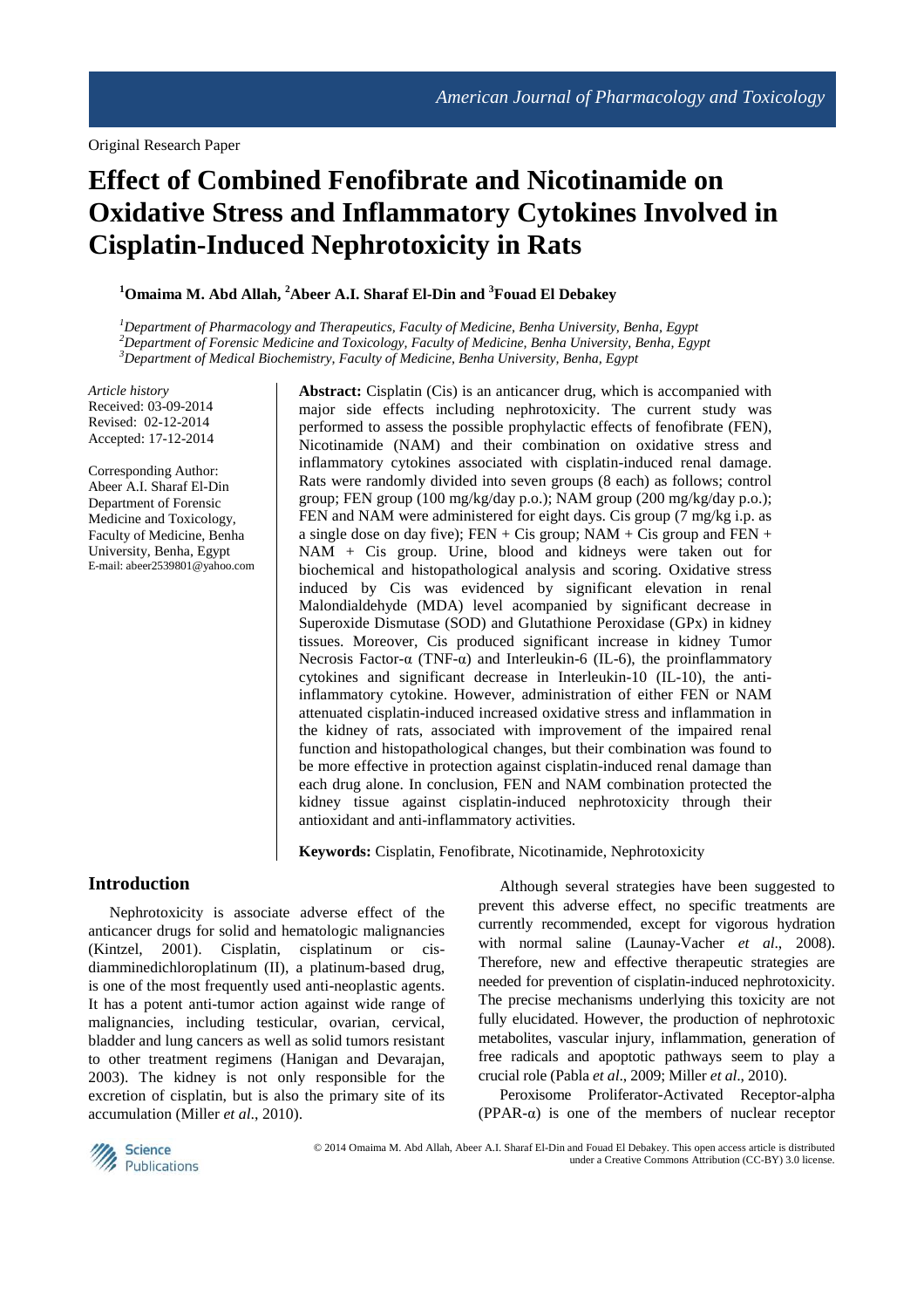# **Effect of Combined Fenofibrate and Nicotinamide on Oxidative Stress and Inflammatory Cytokines Involved in Cisplatin-Induced Nephrotoxicity in Rats**

**<sup>1</sup>Omaima M. Abd Allah, <sup>2</sup>Abeer A.I. Sharaf El-Din and <sup>3</sup>Fouad El Debakey** 

*<sup>1</sup>Department of Pharmacology and Therapeutics, Faculty of Medicine, Benha University, Benha, Egypt <sup>2</sup>Department of Forensic Medicine and Toxicology, Faculty of Medicine, Benha University, Benha, Egypt <sup>3</sup>Department of Medical Biochemistry, Faculty of Medicine, Benha University, Benha, Egypt* 

*Article history*  Received: 03-09-2014 Revised: 02-12-2014 Accepted: 17-12-2014

Corresponding Author: Abeer A.I. Sharaf El-Din Department of Forensic Medicine and Toxicology, Faculty of Medicine, Benha University, Benha, Egypt E-mail: abeer2539801@yahoo.com Abstract: Cisplatin (Cis) is an anticancer drug, which is accompanied with major side effects including nephrotoxicity. The current study was performed to assess the possible prophylactic effects of fenofibrate (FEN), Nicotinamide (NAM) and their combination on oxidative stress and inflammatory cytokines associated with cisplatin-induced renal damage. Rats were randomly divided into seven groups (8 each) as follows; control group; FEN group (100 mg/kg/day p.o.); NAM group (200 mg/kg/day p.o.); FEN and NAM were administered for eight days. Cis group (7 mg/kg i.p. as a single dose on day five);  $FEN + Cis$  group;  $NAM + Cis$  group and  $FEN + Cis$ NAM + Cis group. Urine, blood and kidneys were taken out for biochemical and histopathological analysis and scoring. Oxidative stress induced by Cis was evidenced by significant elevation in renal Malondialdehyde (MDA) level acompanied by significant decrease in Superoxide Dismutase (SOD) and Glutathione Peroxidase (GPx) in kidney tissues. Moreover, Cis produced significant increase in kidney Tumor Necrosis Factor- $\alpha$  (TNF- $\alpha$ ) and Interleukin-6 (IL-6), the proinflammatory cytokines and significant decrease in Interleukin-10 (IL-10), the antiinflammatory cytokine. However, administration of either FEN or NAM attenuated cisplatin-induced increased oxidative stress and inflammation in the kidney of rats, associated with improvement of the impaired renal function and histopathological changes, but their combination was found to be more effective in protection against cisplatin-induced renal damage than each drug alone. In conclusion, FEN and NAM combination protected the kidney tissue against cisplatin-induced nephrotoxicity through their antioxidant and anti-inflammatory activities.

**Keywords:** Cisplatin, Fenofibrate, Nicotinamide, Nephrotoxicity

# **Introduction**

Nephrotoxicity is associate adverse effect of the anticancer drugs for solid and hematologic malignancies (Kintzel, 2001). Cisplatin, cisplatinum or cisdiamminedichloroplatinum (II), a platinum-based drug, is one of the most frequently used anti-neoplastic agents. It has a potent anti-tumor action against wide range of malignancies, including testicular, ovarian, cervical, bladder and lung cancers as well as solid tumors resistant to other treatment regimens (Hanigan and Devarajan, 2003). The kidney is not only responsible for the excretion of cisplatin, but is also the primary site of its accumulation (Miller *et al*., 2010).

Although several strategies have been suggested to prevent this adverse effect, no specific treatments are currently recommended, except for vigorous hydration with normal saline (Launay-Vacher *et al*., 2008). Therefore, new and effective therapeutic strategies are needed for prevention of cisplatin-induced nephrotoxicity. The precise mechanisms underlying this toxicity are not fully elucidated. However, the production of nephrotoxic metabolites, vascular injury, inflammation, generation of free radicals and apoptotic pathways seem to play a crucial role (Pabla *et al*., 2009; Miller *et al*., 2010).

Peroxisome Proliferator-Activated Receptor-alpha (PPAR- $\alpha$ ) is one of the members of nuclear receptor



© 2014 Omaima M. Abd Allah, Abeer A.I. Sharaf El-Din and Fouad El Debakey. This open access article is distributed under a Creative Commons Attribution (CC-BY) 3.0 license.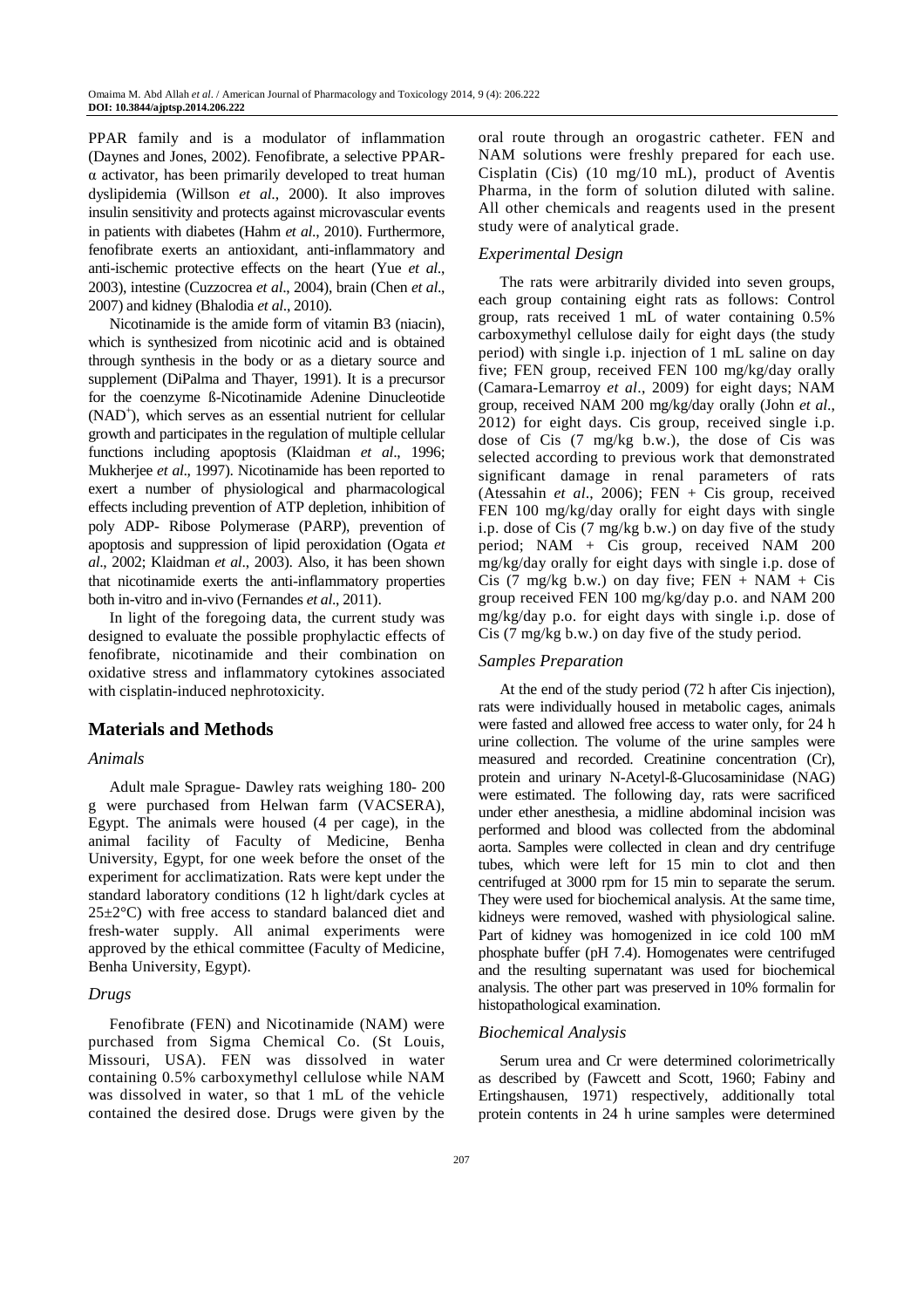PPAR family and is a modulator of inflammation (Daynes and Jones, 2002). Fenofibrate, a selective PPARα activator, has been primarily developed to treat human dyslipidemia (Willson *et al*., 2000). It also improves insulin sensitivity and protects against microvascular events in patients with diabetes (Hahm *et al*., 2010). Furthermore, fenofibrate exerts an antioxidant, anti-inflammatory and anti-ischemic protective effects on the heart (Yue *et al*., 2003), intestine (Cuzzocrea *et al*., 2004), brain (Chen *et al*., 2007) and kidney (Bhalodia *et al*., 2010).

Nicotinamide is the amide form of vitamin B3 (niacin), which is synthesized from nicotinic acid and is obtained through synthesis in the body or as a dietary source and supplement (DiPalma and Thayer, 1991). It is a precursor for the coenzyme ß-Nicotinamide Adenine Dinucleotide (NAD<sup>+</sup>), which serves as an essential nutrient for cellular growth and participates in the regulation of multiple cellular functions including apoptosis (Klaidman *et al*., 1996; Mukherjee *et al*., 1997). Nicotinamide has been reported to exert a number of physiological and pharmacological effects including prevention of ATP depletion, inhibition of poly ADP- Ribose Polymerase (PARP), prevention of apoptosis and suppression of lipid peroxidation (Ogata *et al*., 2002; Klaidman *et al*., 2003). Also, it has been shown that nicotinamide exerts the anti-inflammatory properties both in-vitro and in-vivo (Fernandes *et al*., 2011).

In light of the foregoing data, the current study was designed to evaluate the possible prophylactic effects of fenofibrate, nicotinamide and their combination on oxidative stress and inflammatory cytokines associated with cisplatin-induced nephrotoxicity.

# **Materials and Methods**

## *Animals*

Adult male Sprague- Dawley rats weighing 180- 200 g were purchased from Helwan farm (VACSERA), Egypt. The animals were housed (4 per cage), in the animal facility of Faculty of Medicine, Benha University, Egypt, for one week before the onset of the experiment for acclimatization. Rats were kept under the standard laboratory conditions (12 h light/dark cycles at  $25\pm2$ °C) with free access to standard balanced diet and fresh-water supply. All animal experiments were approved by the ethical committee (Faculty of Medicine, Benha University, Egypt).

#### *Drugs*

Fenofibrate (FEN) and Nicotinamide (NAM) were purchased from Sigma Chemical Co. (St Louis, Missouri, USA). FEN was dissolved in water containing 0.5% carboxymethyl cellulose while NAM was dissolved in water, so that 1 mL of the vehicle contained the desired dose. Drugs were given by the oral route through an orogastric catheter. FEN and NAM solutions were freshly prepared for each use. Cisplatin (Cis) (10 mg/10 mL), product of Aventis Pharma, in the form of solution diluted with saline. All other chemicals and reagents used in the present study were of analytical grade.

### *Experimental Design*

The rats were arbitrarily divided into seven groups, each group containing eight rats as follows: Control group, rats received 1 mL of water containing 0.5% carboxymethyl cellulose daily for eight days (the study period) with single i.p. injection of 1 mL saline on day five; FEN group, received FEN 100 mg/kg/day orally (Camara-Lemarroy *et al*., 2009) for eight days; NAM group, received NAM 200 mg/kg/day orally (John *et al*., 2012) for eight days. Cis group, received single i.p. dose of Cis (7 mg/kg b.w.), the dose of Cis was selected according to previous work that demonstrated significant damage in renal parameters of rats (Atessahin *et al*., 2006); FEN + Cis group, received FEN 100 mg/kg/day orally for eight days with single i.p. dose of Cis (7 mg/kg b.w.) on day five of the study period; NAM + Cis group, received NAM 200 mg/kg/day orally for eight days with single i.p. dose of Cis (7 mg/kg b.w.) on day five;  $FEN + NAM + Cis$ group received FEN 100 mg/kg/day p.o. and NAM 200 mg/kg/day p.o. for eight days with single i.p. dose of Cis (7 mg/kg b.w.) on day five of the study period.

#### *Samples Preparation*

At the end of the study period (72 h after Cis injection), rats were individually housed in metabolic cages, animals were fasted and allowed free access to water only, for 24 h urine collection. The volume of the urine samples were measured and recorded. Creatinine concentration (Cr), protein and urinary N-Acetyl-ß-Glucosaminidase (NAG) were estimated. The following day, rats were sacrificed under ether anesthesia, a midline abdominal incision was performed and blood was collected from the abdominal aorta. Samples were collected in clean and dry centrifuge tubes, which were left for 15 min to clot and then centrifuged at 3000 rpm for 15 min to separate the serum. They were used for biochemical analysis. At the same time, kidneys were removed, washed with physiological saline. Part of kidney was homogenized in ice cold 100 mM phosphate buffer (pH 7.4). Homogenates were centrifuged and the resulting supernatant was used for biochemical analysis. The other part was preserved in 10% formalin for histopathological examination.

#### *Biochemical Analysis*

Serum urea and Cr were determined colorimetrically as described by (Fawcett and Scott, 1960; Fabiny and Ertingshausen, 1971) respectively, additionally total protein contents in 24 h urine samples were determined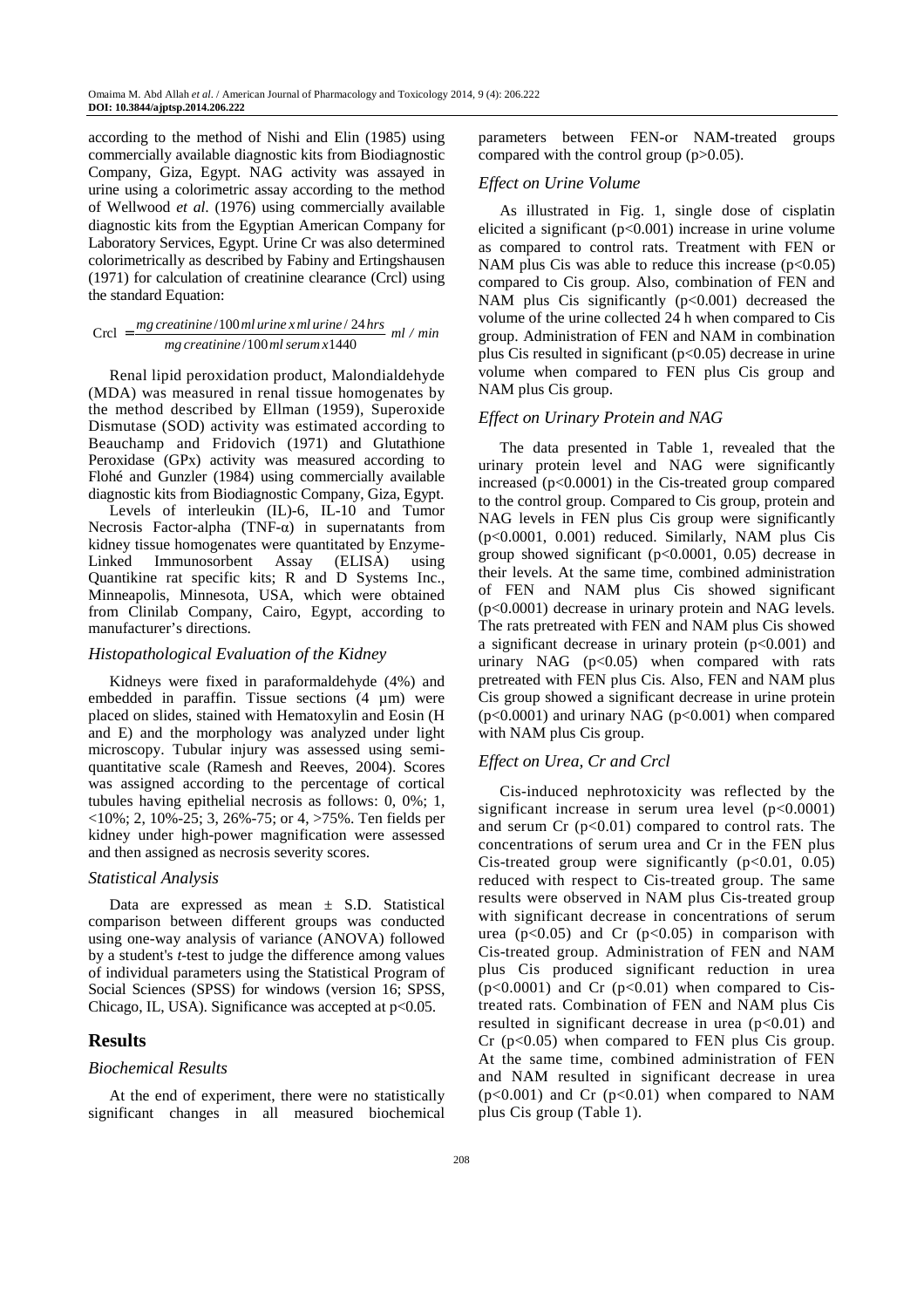according to the method of Nishi and Elin (1985) using commercially available diagnostic kits from Biodiagnostic Company, Giza, Egypt. NAG activity was assayed in urine using a colorimetric assay according to the method of Wellwood *et al*. (1976) using commercially available diagnostic kits from the Egyptian American Company for Laboratory Services, Egypt. Urine Cr was also determined colorimetrically as described by Fabiny and Ertingshausen (1971) for calculation of creatinine clearance (Crcl) using the standard Equation:

## $\text{Crcl } = \frac{mg \, creationine/100 \, ml \, urine \, x \, ml \, urine/24 \, hrs}{100 \, ml \, time \, time/100 \, ml \, time} \, ml \, / \, min$ mg creatinine /  $100$  ml serum x $1440$

Renal lipid peroxidation product, Malondialdehyde (MDA) was measured in renal tissue homogenates by the method described by Ellman (1959), Superoxide Dismutase (SOD) activity was estimated according to Beauchamp and Fridovich (1971) and Glutathione Peroxidase (GPx) activity was measured according to Flohé and Gunzler (1984) using commercially available diagnostic kits from Biodiagnostic Company, Giza, Egypt.

Levels of interleukin (IL)-6, IL-10 and Tumor Necrosis Factor-alpha (TNF- $\alpha$ ) in supernatants from kidney tissue homogenates were quantitated by Enzyme-Linked Immunosorbent Assay (ELISA) using Quantikine rat specific kits; R and D Systems Inc., Minneapolis, Minnesota, USA, which were obtained from Clinilab Company, Cairo, Egypt, according to manufacturer's directions.

## *Histopathological Evaluation of the Kidney*

Kidneys were fixed in paraformaldehyde (4%) and embedded in paraffin. Tissue sections (4 µm) were placed on slides, stained with Hematoxylin and Eosin (H and E) and the morphology was analyzed under light microscopy. Tubular injury was assessed using semiquantitative scale (Ramesh and Reeves, 2004). Scores was assigned according to the percentage of cortical tubules having epithelial necrosis as follows: 0, 0%; 1,  $\langle 10\%; 2, 10\% \text{--} 25; 3, 26\% \text{--} 75; \text{ or } 4, \rangle$  75%. Ten fields per kidney under high-power magnification were assessed and then assigned as necrosis severity scores.

#### *Statistical Analysis*

Data are expressed as mean ± S.D. Statistical comparison between different groups was conducted using one-way analysis of variance (ANOVA) followed by a student's *t*-test to judge the difference among values of individual parameters using the Statistical Program of Social Sciences (SPSS) for windows (version 16; SPSS, Chicago, IL, USA). Significance was accepted at  $p<0.05$ .

## **Results**

## *Biochemical Results*

At the end of experiment, there were no statistically significant changes in all measured biochemical

parameters between FEN-or NAM-treated groups compared with the control group  $(p>0.05)$ .

### *Effect on Urine Volume*

As illustrated in Fig. 1, single dose of cisplatin elicited a significant (p<0.001) increase in urine volume as compared to control rats. Treatment with FEN or NAM plus Cis was able to reduce this increase  $(p<0.05)$ compared to Cis group. Also, combination of FEN and NAM plus Cis significantly  $(p<0.001)$  decreased the volume of the urine collected 24 h when compared to Cis group. Administration of FEN and NAM in combination plus Cis resulted in significant  $(p<0.05)$  decrease in urine volume when compared to FEN plus Cis group and NAM plus Cis group.

## *Effect on Urinary Protein and NAG*

The data presented in Table 1, revealed that the urinary protein level and NAG were significantly increased (p<0.0001) in the Cis-treated group compared to the control group. Compared to Cis group, protein and NAG levels in FEN plus Cis group were significantly (p<0.0001, 0.001) reduced. Similarly, NAM plus Cis group showed significant (p<0.0001, 0.05) decrease in their levels. At the same time, combined administration of FEN and NAM plus Cis showed significant (p<0.0001) decrease in urinary protein and NAG levels. The rats pretreated with FEN and NAM plus Cis showed a significant decrease in urinary protein  $(p<0.001)$  and urinary NAG  $(p<0.05)$  when compared with rats pretreated with FEN plus Cis. Also, FEN and NAM plus Cis group showed a significant decrease in urine protein (p<0.0001) and urinary NAG (p<0.001) when compared with NAM plus Cis group.

## *Effect on Urea, Cr and Crcl*

Cis-induced nephrotoxicity was reflected by the significant increase in serum urea level  $(p<0.0001)$ and serum Cr  $(p<0.01)$  compared to control rats. The concentrations of serum urea and Cr in the FEN plus Cis-treated group were significantly  $(p<0.01, 0.05)$ reduced with respect to Cis-treated group. The same results were observed in NAM plus Cis-treated group with significant decrease in concentrations of serum urea ( $p<0.05$ ) and Cr ( $p<0.05$ ) in comparison with Cis-treated group. Administration of FEN and NAM plus Cis produced significant reduction in urea  $(p<0.0001)$  and Cr  $(p<0.01)$  when compared to Cistreated rats. Combination of FEN and NAM plus Cis resulted in significant decrease in urea  $(p<0.01)$  and Cr  $(p<0.05)$  when compared to FEN plus Cis group. At the same time, combined administration of FEN and NAM resulted in significant decrease in urea  $(p<0.001)$  and Cr  $(p<0.01)$  when compared to NAM plus Cis group (Table 1).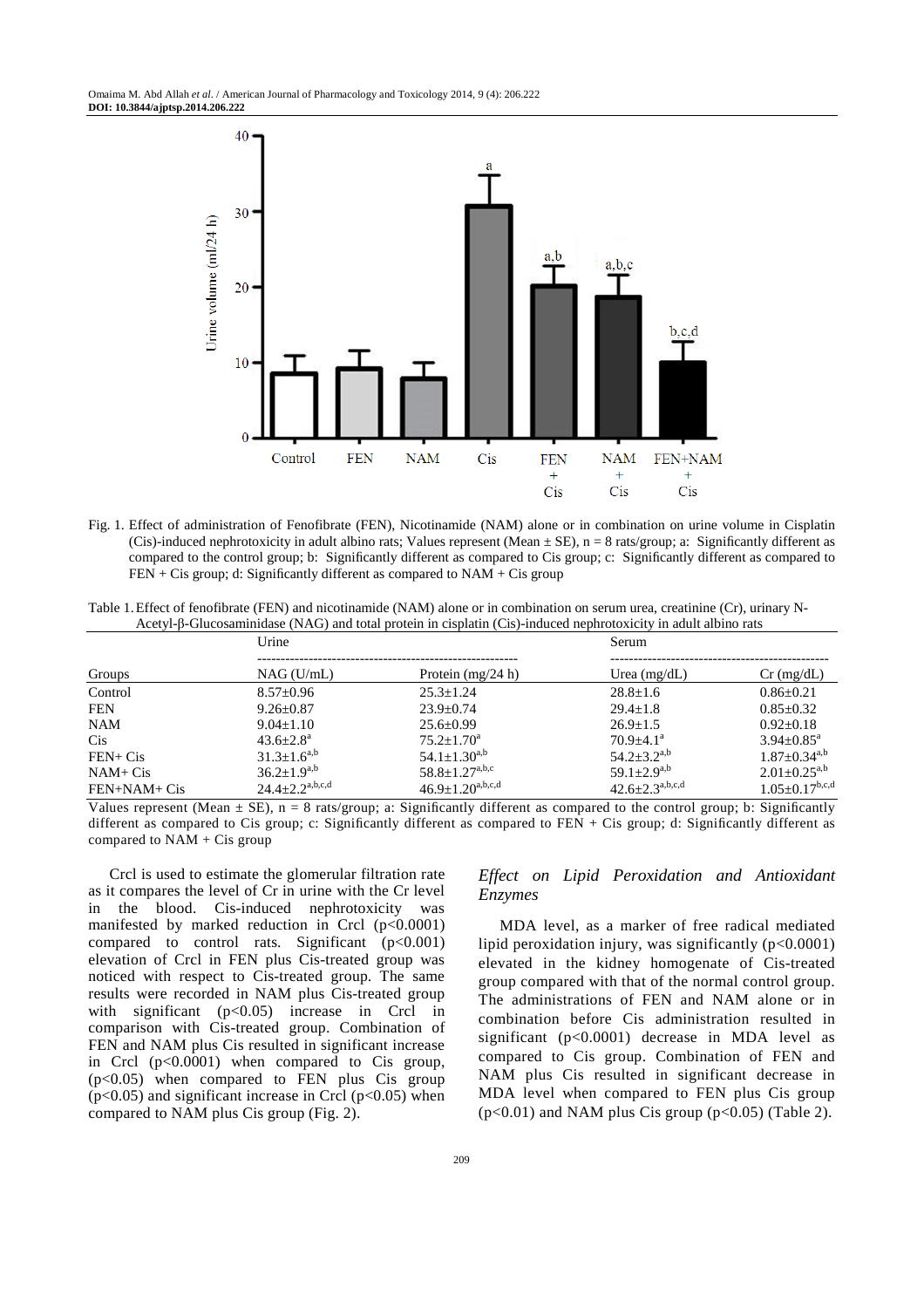

Fig. 1. Effect of administration of Fenofibrate (FEN), Nicotinamide (NAM) alone or in combination on urine volume in Cisplatin (Cis)-induced nephrotoxicity in adult albino rats; Values represent (Mean  $\pm$  SE), n = 8 rats/group; a: Significantly different as compared to the control group; b: Significantly different as compared to Cis group; c: Significantly different as compared to  $FEN + Cis group$ ; d: Significantly different as compared to  $NAM + Cis$  group

Table 1. Effect of fenofibrate (FEN) and nicotinamide (NAM) alone or in combination on serum urea, creatinine (Cr), urinary N-Acetyl-β-Glucosaminidase (NAG) and total protein in cisplatin (Cis)-induced nephrotoxicity in adult albino rats

| Groups       | Urine                    |                            | Serum                         |                          |
|--------------|--------------------------|----------------------------|-------------------------------|--------------------------|
|              | $NAG$ (U/mL)             | Protein $(mg/24 h)$        | Urea $(mg/dL)$                | $Cr$ (mg/dL)             |
| Control      | $8.57 \pm 0.96$          | $25.3 + 1.24$              | $28.8 \pm 1.6$                | $0.86 + 0.21$            |
| <b>FEN</b>   | $9.26 + 0.87$            | $23.9 + 0.74$              | $29.4 + 1.8$                  | $0.85 + 0.32$            |
| <b>NAM</b>   | $9.04 + 1.10$            | $25.6 + 0.99$              | $26.9+1.5$                    | $0.92+0.18$              |
| <b>Cis</b>   | $43.6 + 2.8^{\circ}$     | $75.2 \pm 1.70^{\circ}$    | $70.9 + 4.1a$                 | $3.94 + 0.85^{\text{a}}$ |
| $FEN+Cis$    | $31.3+1.6^{a,b}$         | $54.1 \pm 1.30^{a,b}$      | $54.2+3.2^{a,b}$              | $1.87 \pm 0.34^{a,b}$    |
| $NAM+Cis$    | $36.2+1.9^{a,b}$         | $58.8+1.27^{\text{a,b,c}}$ | 59.1 $\pm$ 2.9 <sup>a,b</sup> | $2.01 + 0.25^{a,b}$      |
| FEN+NAM+ Cis | $24.4 \pm 2.2^{a,b,c,d}$ | $46.9 \pm 1.20^{a,b,c,d}$  | $42.6 + 2.3^{a,b,c,d}$        | $1.05 \pm 0.17^{b,c,d}$  |

Values represent (Mean  $\pm$  SE), n = 8 rats/group; a: Significantly different as compared to the control group; b: Significantly different as compared to Cis group; c: Significantly different as compared to FEN + Cis group; d: Significantly different as compared to NAM + Cis group

Crcl is used to estimate the glomerular filtration rate as it compares the level of Cr in urine with the Cr level in the blood. Cis-induced nephrotoxicity was manifested by marked reduction in Crcl (p<0.0001) compared to control rats. Significant  $(p<0.001)$ elevation of Crcl in FEN plus Cis-treated group was noticed with respect to Cis-treated group. The same results were recorded in NAM plus Cis-treated group with significant (p<0.05) increase in Crcl in comparison with Cis-treated group. Combination of FEN and NAM plus Cis resulted in significant increase in Crcl  $(p<0.0001)$  when compared to Cis group, (p<0.05) when compared to FEN plus Cis group  $(p<0.05)$  and significant increase in Crcl  $(p<0.05)$  when compared to NAM plus Cis group (Fig. 2).

## *Effect on Lipid Peroxidation and Antioxidant Enzymes*

MDA level, as a marker of free radical mediated lipid peroxidation injury, was significantly  $(p<0.0001)$ elevated in the kidney homogenate of Cis-treated group compared with that of the normal control group. The administrations of FEN and NAM alone or in combination before Cis administration resulted in significant (p<0.0001) decrease in MDA level as compared to Cis group. Combination of FEN and NAM plus Cis resulted in significant decrease in MDA level when compared to FEN plus Cis group  $(p<0.01)$  and NAM plus Cis group  $(p<0.05)$  (Table 2).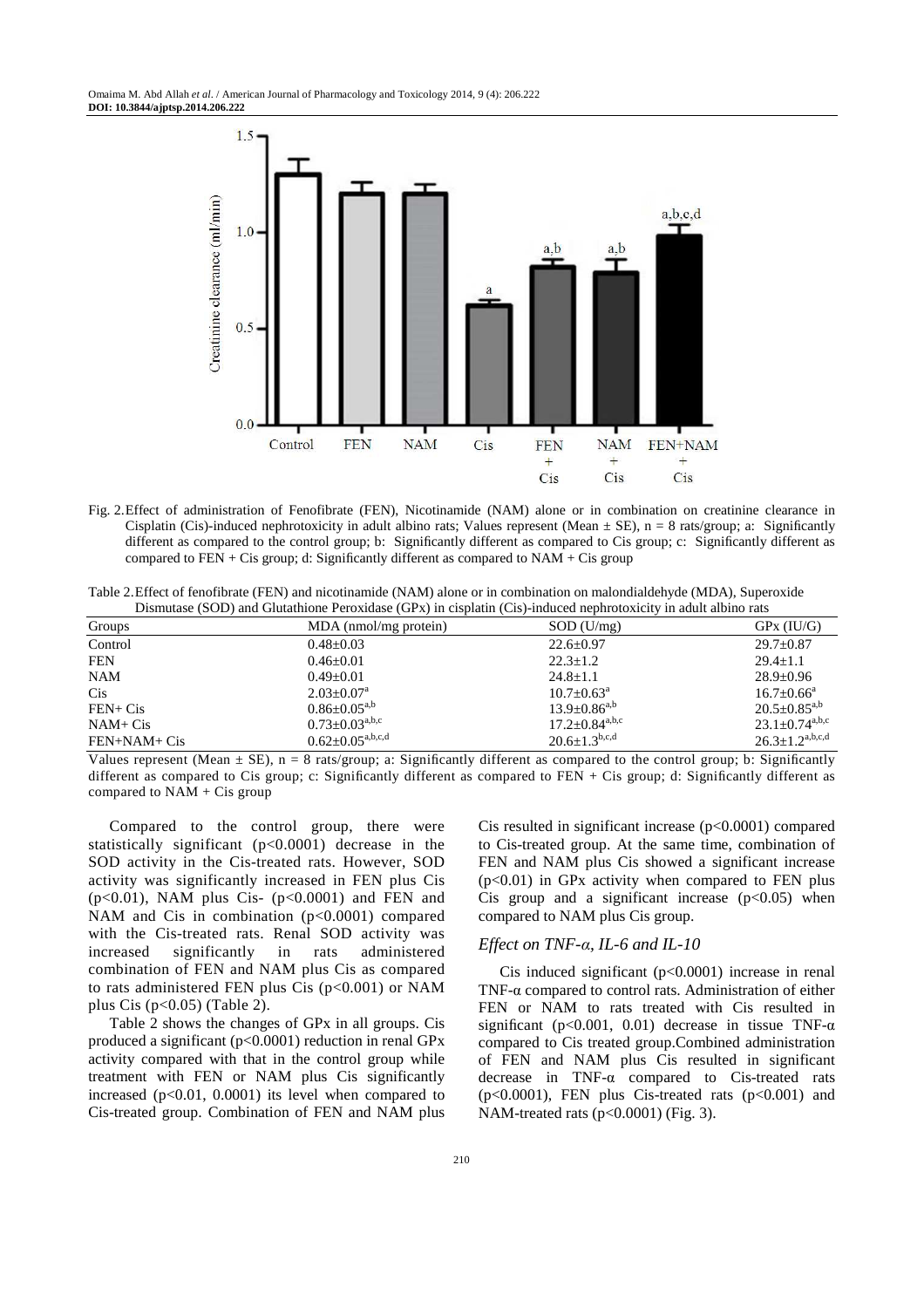

Fig. 2. Effect of administration of Fenofibrate (FEN), Nicotinamide (NAM) alone or in combination on creatinine clearance in Cisplatin (Cis)-induced nephrotoxicity in adult albino rats; Values represent (Mean  $\pm$  SE), n = 8 rats/group; a: Significantly different as compared to the control group; b: Significantly different as compared to Cis group; c: Significantly different as compared to  $FEN + Cis$  group; d: Significantly different as compared to  $NAM + Cis$  group

Table 2. Effect of fenofibrate (FEN) and nicotinamide (NAM) alone or in combination on malondialdehyde (MDA), Superoxide Dismutase (SOD) and Glutathione Peroxidase (GPx) in cisplatin (Cis)-induced nephrotoxicity in adult albino rats

| Groups       | MDA (nmol/mg protein)         | $SOD$ (U/mg)                                 | $GPX$ (IU/G)               |
|--------------|-------------------------------|----------------------------------------------|----------------------------|
| Control      | $0.48 \pm 0.03$               | $22.6 \pm 0.97$                              | $29.7 \pm 0.87$            |
| <b>FEN</b>   | $0.46 \pm 0.01$               | $22.3 \pm 1.2$                               | $29.4 \pm 1.1$             |
| <b>NAM</b>   | $0.49 + 0.01$                 | $24.8 \pm 1.1$                               | $28.9 \pm 0.96$            |
| Cis          | $2.03 \pm 0.07^{\rm a}$       | $10.7 \pm 0.63^{\text{a}}$                   | $16.7 \pm 0.66^{\circ}$    |
| $FEN+Cis$    | $0.86 \pm 0.05^{a,b}$         | $13.9 + 0.86^{a,b}$                          | $20.5 \pm 0.85^{a,b}$      |
| $NAM+Cis$    | $0.73+0.03^{\text{a,b,c}}$    | $17.2 \pm 0.84^{\text{a},\text{b},\text{c}}$ | $23.1+0.74^{\text{a,b,c}}$ |
| FEN+NAM+ Cis | $0.62 \pm 0.05^{\rm a,b,c,d}$ | $20.6 \pm 1.3$ <sup>b,c,d</sup>              | $26.3 \pm 1.2^{a,b,c,d}$   |
|              |                               |                                              |                            |

Values represent (Mean  $\pm$  SE), n = 8 rats/group; a: Significantly different as compared to the control group; b: Significantly different as compared to Cis group; c: Significantly different as compared to FEN + Cis group; d: Significantly different as compared to  $NAM + C$  is group

Compared to the control group, there were statistically significant  $(p<0.0001)$  decrease in the SOD activity in the Cis-treated rats. However, SOD activity was significantly increased in FEN plus Cis  $(p<0.01)$ , NAM plus Cis-  $(p<0.0001)$  and FEN and NAM and Cis in combination (p<0.0001) compared with the Cis-treated rats. Renal SOD activity was increased significantly in rats administered combination of FEN and NAM plus Cis as compared to rats administered FEN plus Cis  $(p<0.001)$  or NAM plus Cis ( $p<0.05$ ) (Table 2).

Table 2 shows the changes of GPx in all groups. Cis produced a significant (p<0.0001) reduction in renal GPx activity compared with that in the control group while treatment with FEN or NAM plus Cis significantly increased  $(p<0.01, 0.0001)$  its level when compared to Cis-treated group. Combination of FEN and NAM plus Cis resulted in significant increase  $(p<0.0001)$  compared to Cis-treated group. At the same time, combination of FEN and NAM plus Cis showed a significant increase  $(p<0.01)$  in GP<sub>x</sub> activity when compared to FEN plus Cis group and a significant increase  $(p<0.05)$  when compared to NAM plus Cis group.

#### *Effect on TNF-α, IL-6 and IL-10*

Cis induced significant  $(p<0.0001)$  increase in renal TNF-α compared to control rats. Administration of either FEN or NAM to rats treated with Cis resulted in significant ( $p<0.001$ , 0.01) decrease in tissue TNF- $\alpha$ compared to Cis treated group.Combined administration of FEN and NAM plus Cis resulted in significant decrease in TNF-α compared to Cis-treated rats (p<0.0001), FEN plus Cis-treated rats (p<0.001) and NAM-treated rats  $(p<0.0001)$  (Fig. 3).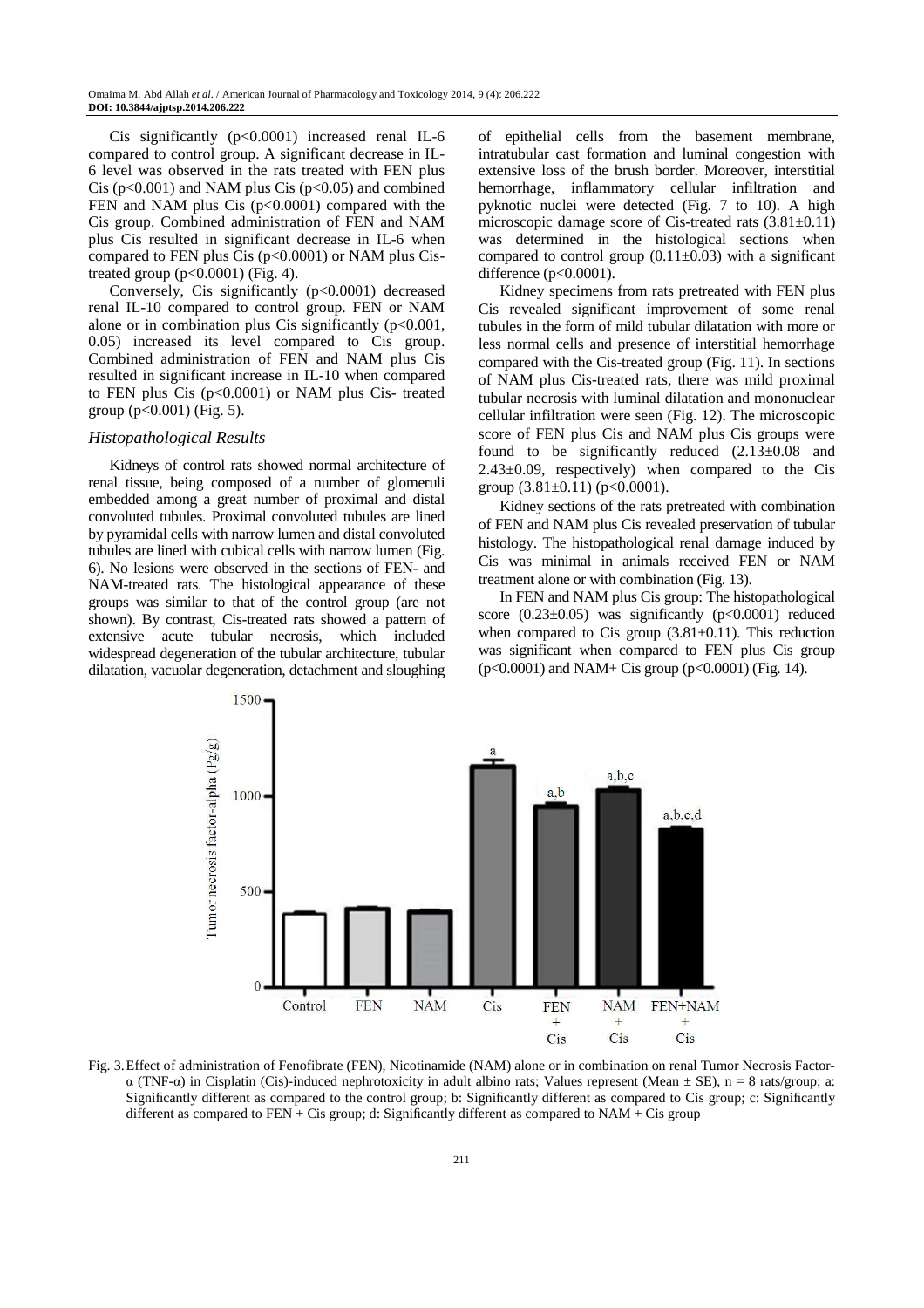Cis significantly (p<0.0001) increased renal IL-6 compared to control group. A significant decrease in IL-6 level was observed in the rats treated with FEN plus Cis ( $p<0.001$ ) and NAM plus Cis ( $p<0.05$ ) and combined FEN and NAM plus Cis  $(p<0.0001)$  compared with the Cis group. Combined administration of FEN and NAM plus Cis resulted in significant decrease in IL-6 when compared to FEN plus Cis  $(p<0.0001)$  or NAM plus Cistreated group  $(p<0.0001)$  (Fig. 4).

Conversely, Cis significantly (p<0.0001) decreased renal IL-10 compared to control group. FEN or NAM alone or in combination plus Cis significantly  $(p<0.001,$ 0.05) increased its level compared to Cis group. Combined administration of FEN and NAM plus Cis resulted in significant increase in IL-10 when compared to FEN plus Cis (p<0.0001) or NAM plus Cis- treated group ( $p < 0.001$ ) (Fig. 5).

## *Histopathological Results*

Kidneys of control rats showed normal architecture of renal tissue, being composed of a number of glomeruli embedded among a great number of proximal and distal convoluted tubules. Proximal convoluted tubules are lined by pyramidal cells with narrow lumen and distal convoluted tubules are lined with cubical cells with narrow lumen (Fig. 6). No lesions were observed in the sections of FEN- and NAM-treated rats. The histological appearance of these groups was similar to that of the control group (are not shown). By contrast, Cis-treated rats showed a pattern of extensive acute tubular necrosis, which included widespread degeneration of the tubular architecture, tubular dilatation, vacuolar degeneration, detachment and sloughing of epithelial cells from the basement membrane, intratubular cast formation and luminal congestion with extensive loss of the brush border. Moreover, interstitial hemorrhage, inflammatory cellular infiltration and pyknotic nuclei were detected (Fig. 7 to 10). A high microscopic damage score of Cis-treated rats (3.81±0.11) was determined in the histological sections when compared to control group  $(0.11\pm0.03)$  with a significant difference (p<0.0001).

Kidney specimens from rats pretreated with FEN plus Cis revealed significant improvement of some renal tubules in the form of mild tubular dilatation with more or less normal cells and presence of interstitial hemorrhage compared with the Cis-treated group (Fig. 11). In sections of NAM plus Cis-treated rats, there was mild proximal tubular necrosis with luminal dilatation and mononuclear cellular infiltration were seen (Fig. 12). The microscopic score of FEN plus Cis and NAM plus Cis groups were found to be significantly reduced  $(2.13\pm0.08$  and  $2.43\pm0.09$ , respectively) when compared to the Cis group  $(3.81 \pm 0.11)$  (p<0.0001).

Kidney sections of the rats pretreated with combination of FEN and NAM plus Cis revealed preservation of tubular histology. The histopathological renal damage induced by Cis was minimal in animals received FEN or NAM treatment alone or with combination (Fig. 13).

In FEN and NAM plus Cis group: The histopathological score  $(0.23 \pm 0.05)$  was significantly  $(p<0.0001)$  reduced when compared to Cis group  $(3.81 \pm 0.11)$ . This reduction was significant when compared to FEN plus Cis group (p<0.0001) and NAM+ Cis group (p<0.0001) (Fig. 14).



Fig. 3. Effect of administration of Fenofibrate (FEN), Nicotinamide (NAM) alone or in combination on renal Tumor Necrosis Factor- $\alpha$  (TNF- $\alpha$ ) in Cisplatin (Cis)-induced nephrotoxicity in adult albino rats; Values represent (Mean  $\pm$  SE), n = 8 rats/group; a: Significantly different as compared to the control group; b: Significantly different as compared to Cis group; c: Significantly different as compared to  $FEN + Cis$  group; d: Significantly different as compared to  $NAM + Cis$  group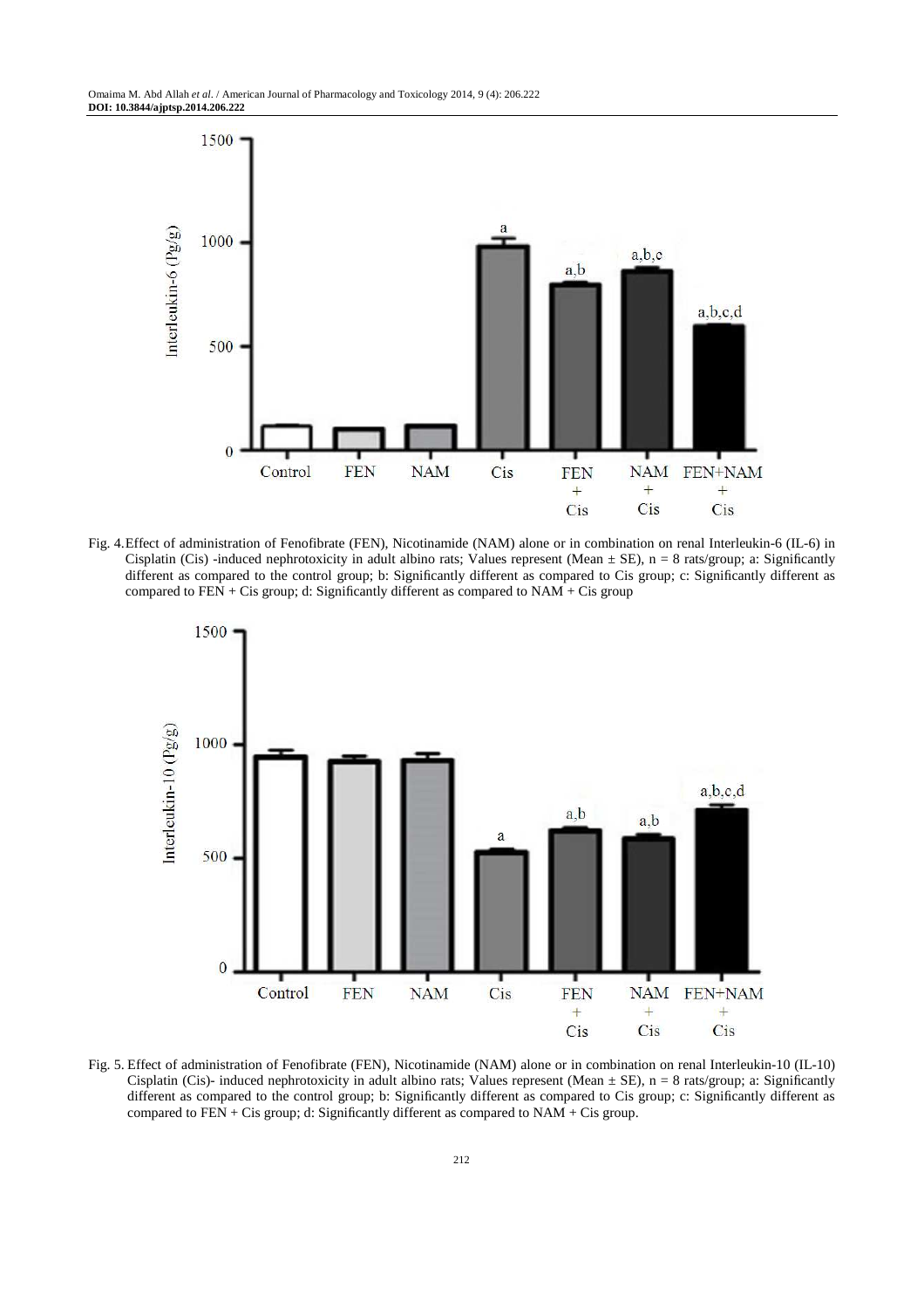

Fig. 4. Effect of administration of Fenofibrate (FEN), Nicotinamide (NAM) alone or in combination on renal Interleukin-6 (IL-6) in Cisplatin (Cis) -induced nephrotoxicity in adult albino rats; Values represent (Mean  $\pm$  SE), n = 8 rats/group; a: Significantly different as compared to the control group; b: Significantly different as compared to Cis group; c: Significantly different as compared to  $FEN + Cis$  group; d: Significantly different as compared to  $NAM + Cis$  group



Fig. 5. Effect of administration of Fenofibrate (FEN), Nicotinamide (NAM) alone or in combination on renal Interleukin-10 (IL-10) Cisplatin (Cis)- induced nephrotoxicity in adult albino rats; Values represent (Mean  $\pm$  SE), n = 8 rats/group; a: Significantly different as compared to the control group; b: Significantly different as compared to Cis group; c: Significantly different as compared to  $FEN + Cis$  group; d: Significantly different as compared to  $NAM + Cis$  group.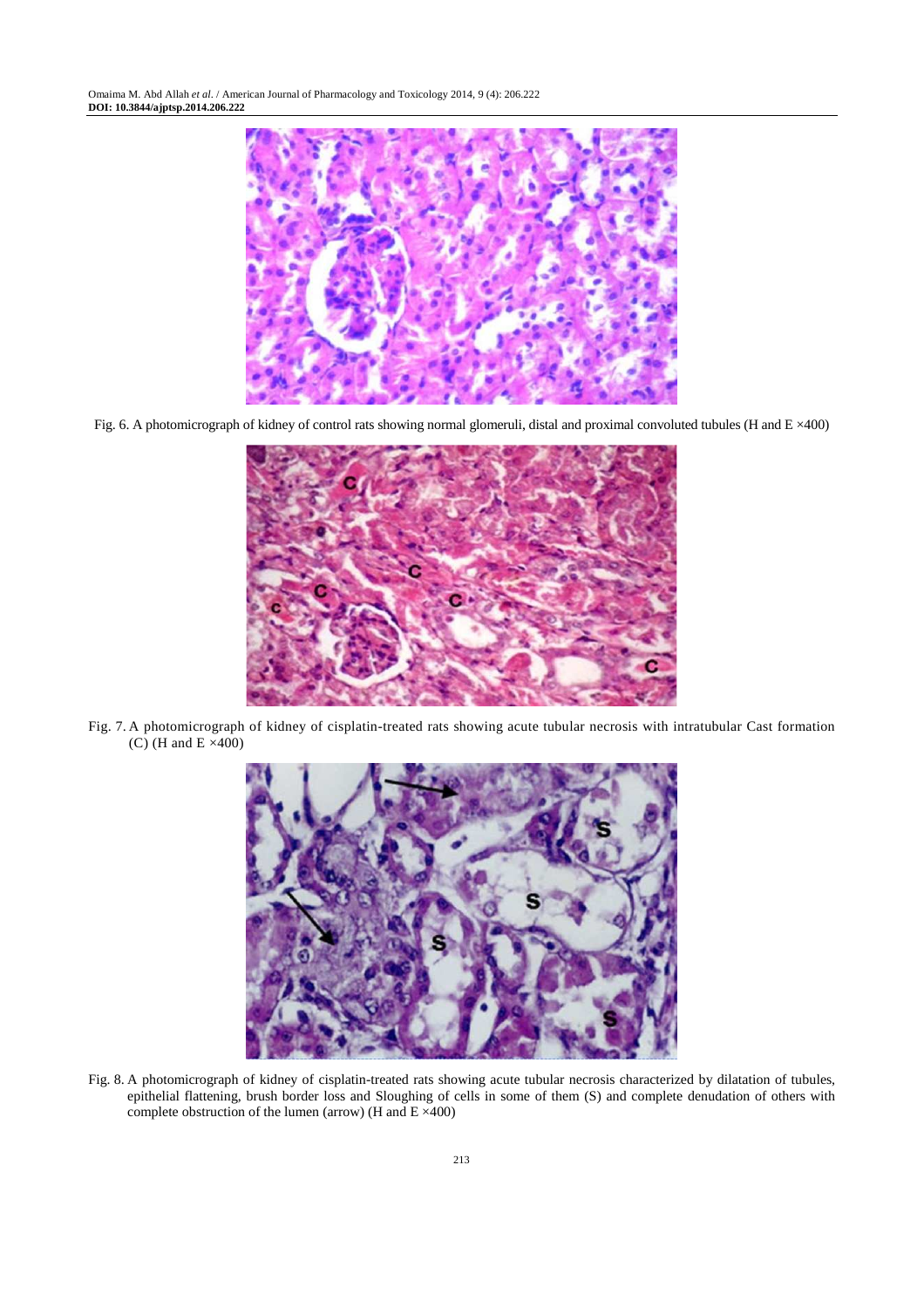

Fig. 6. A photomicrograph of kidney of control rats showing normal glomeruli, distal and proximal convoluted tubules (H and E ×400)



Fig. 7. A photomicrograph of kidney of cisplatin-treated rats showing acute tubular necrosis with intratubular Cast formation  $(C)$  (H and E  $\times$ 400)



Fig. 8. A photomicrograph of kidney of cisplatin-treated rats showing acute tubular necrosis characterized by dilatation of tubules, epithelial flattening, brush border loss and Sloughing of cells in some of them (S) and complete denudation of others with complete obstruction of the lumen (arrow) (H and  $E \times 400$ )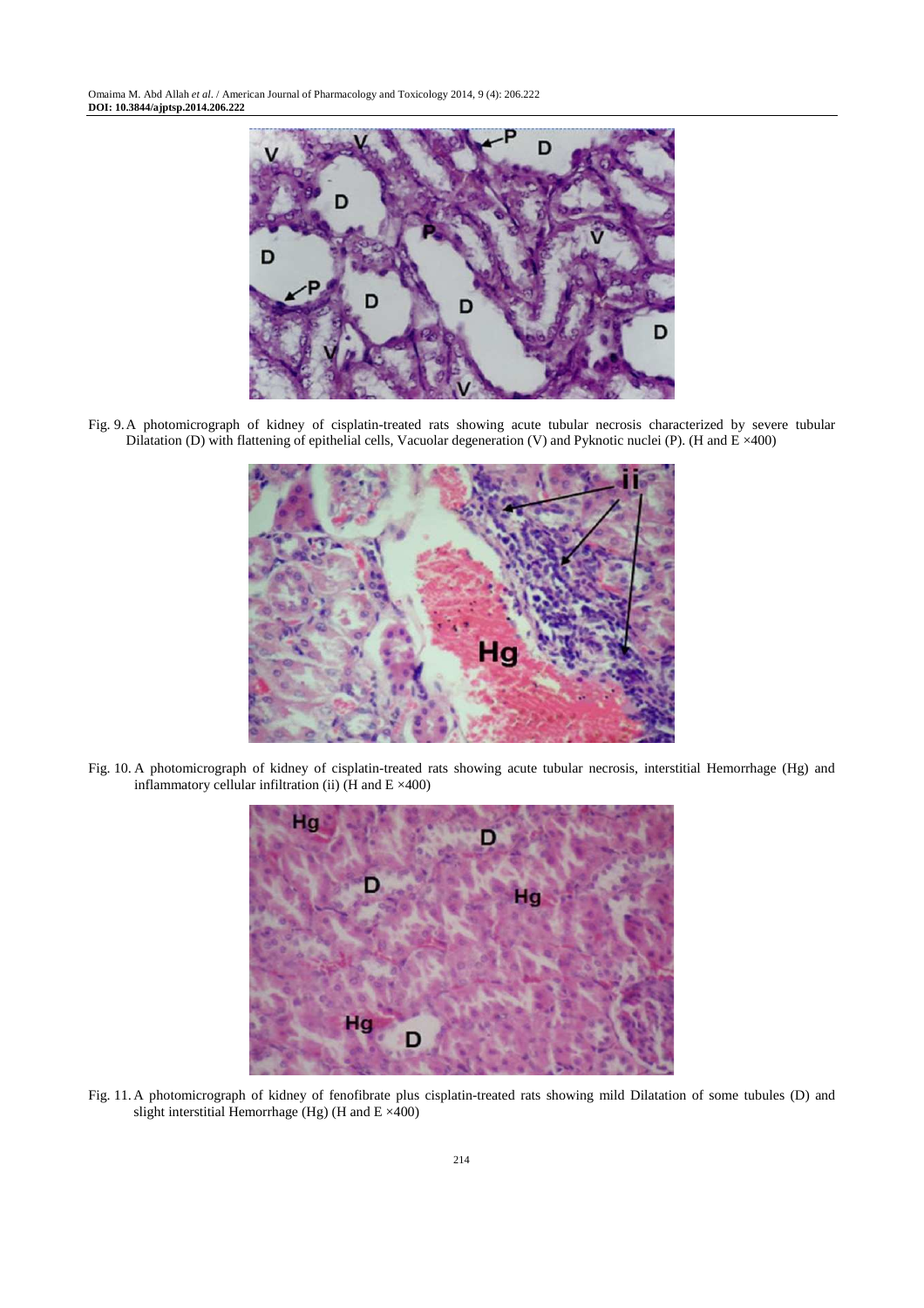

Fig. 9. A photomicrograph of kidney of cisplatin-treated rats showing acute tubular necrosis characterized by severe tubular Dilatation (D) with flattening of epithelial cells, Vacuolar degeneration (V) and Pyknotic nuclei (P). (H and E ×400)



Fig. 10. A photomicrograph of kidney of cisplatin-treated rats showing acute tubular necrosis, interstitial Hemorrhage (Hg) and inflammatory cellular infiltration (ii) (H and E  $\times$ 400)



Fig. 11. A photomicrograph of kidney of fenofibrate plus cisplatin-treated rats showing mild Dilatation of some tubules (D) and slight interstitial Hemorrhage (Hg) (H and E ×400)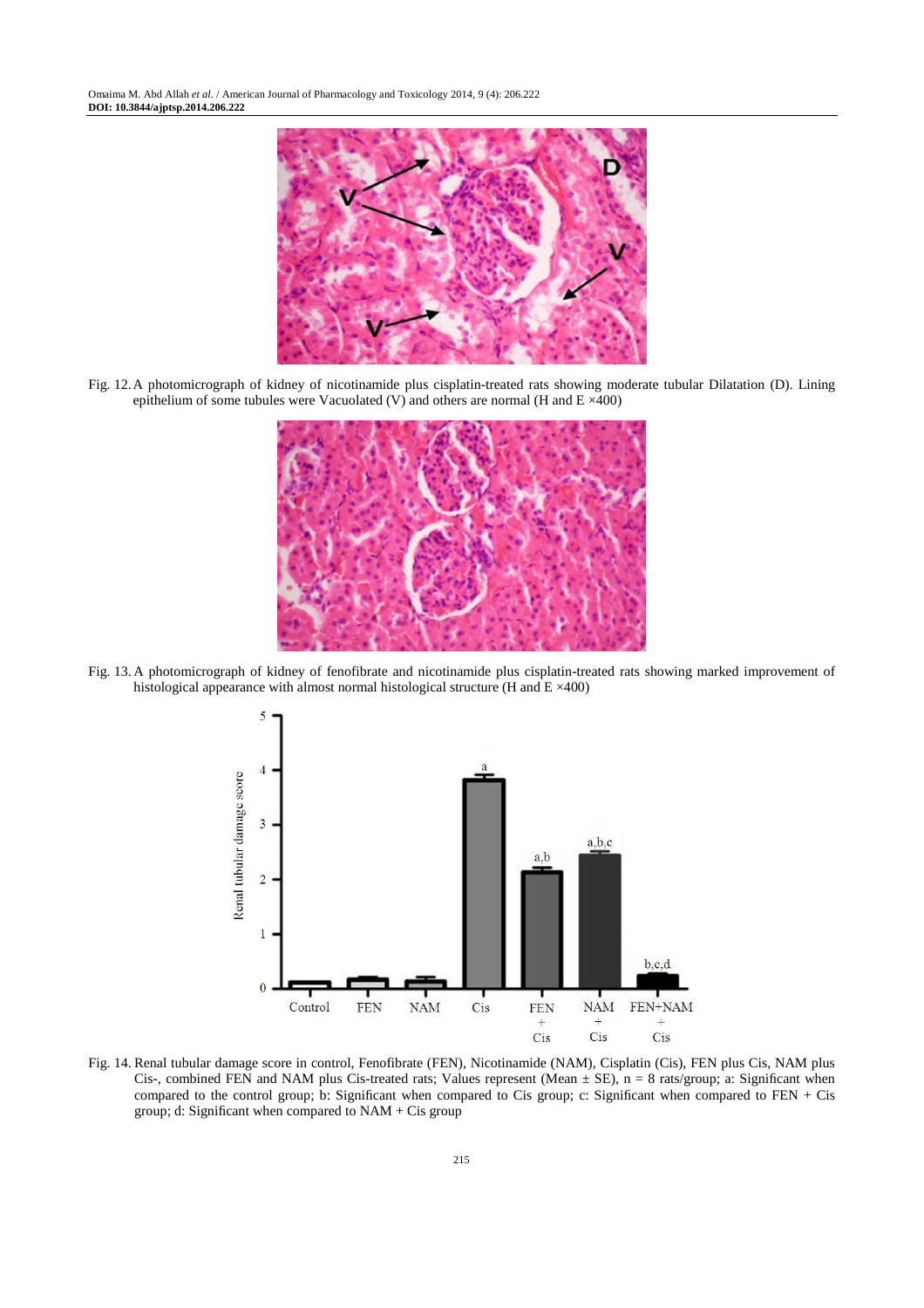

Fig. 12. A photomicrograph of kidney of nicotinamide plus cisplatin-treated rats showing moderate tubular Dilatation (D). Lining epithelium of some tubules were Vacuolated (V) and others are normal (H and E  $\times$ 400)



Fig. 13. A photomicrograph of kidney of fenofibrate and nicotinamide plus cisplatin-treated rats showing marked improvement of histological appearance with almost normal histological structure (H and E  $\times$ 400)



Fig. 14. Renal tubular damage score in control, Fenofibrate (FEN), Nicotinamide (NAM), Cisplatin (Cis), FEN plus Cis, NAM plus Cis-, combined FEN and NAM plus Cis-treated rats; Values represent (Mean  $\pm$  SE), n = 8 rats/group; a: Significant when compared to the control group; b: Significant when compared to Cis group; c: Significant when compared to FEN + Cis group; d: Significant when compared to NAM + Cis group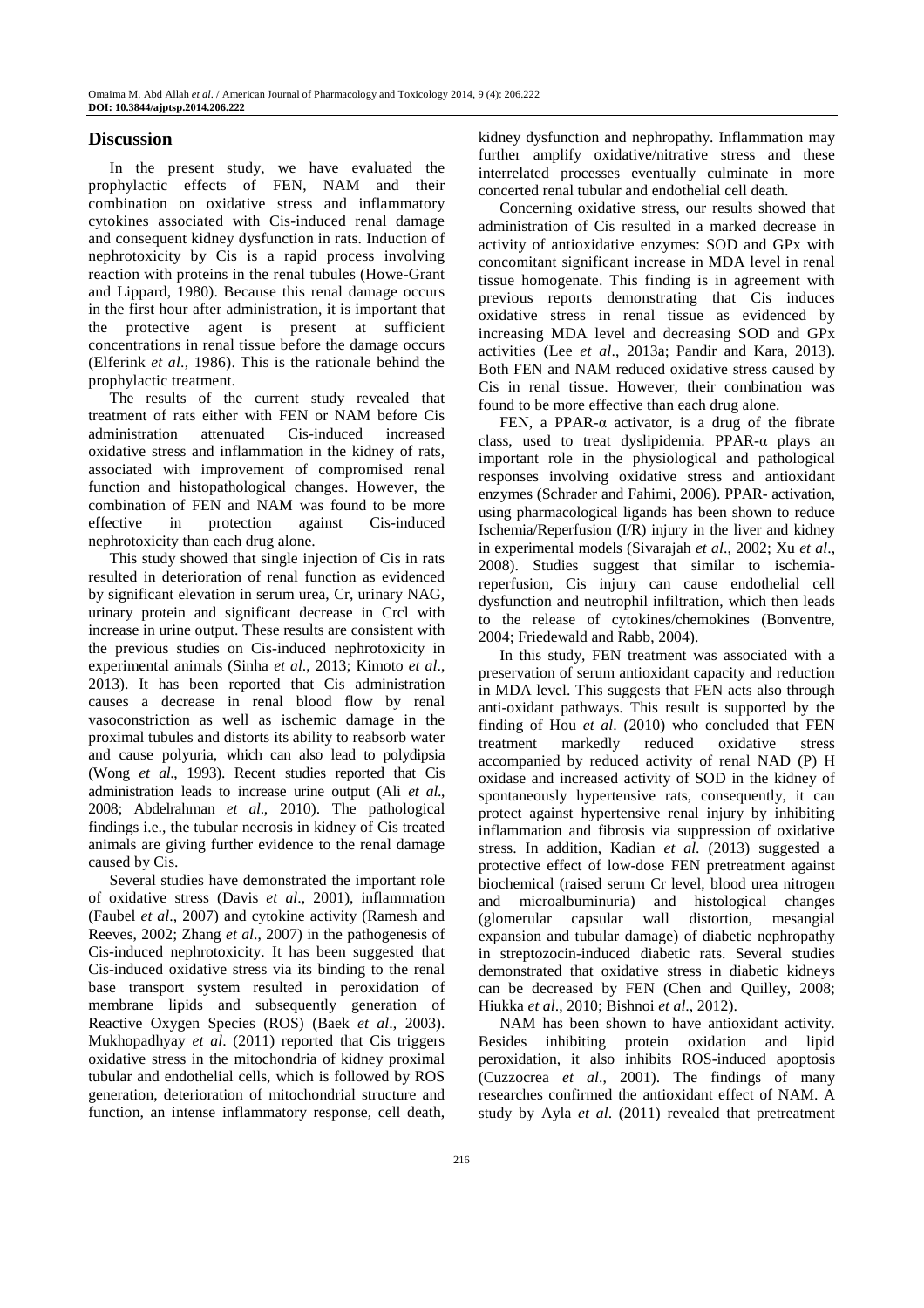# **Discussion**

In the present study, we have evaluated the prophylactic effects of FEN, NAM and their combination on oxidative stress and inflammatory cytokines associated with Cis-induced renal damage and consequent kidney dysfunction in rats. Induction of nephrotoxicity by Cis is a rapid process involving reaction with proteins in the renal tubules (Howe-Grant and Lippard, 1980). Because this renal damage occurs in the first hour after administration, it is important that the protective agent is present at sufficient concentrations in renal tissue before the damage occurs (Elferink *et al*., 1986). This is the rationale behind the prophylactic treatment.

The results of the current study revealed that treatment of rats either with FEN or NAM before Cis administration attenuated Cis-induced increased oxidative stress and inflammation in the kidney of rats, associated with improvement of compromised renal function and histopathological changes. However, the combination of FEN and NAM was found to be more effective in protection against Cis-induced nephrotoxicity than each drug alone.

This study showed that single injection of Cis in rats resulted in deterioration of renal function as evidenced by significant elevation in serum urea, Cr, urinary NAG, urinary protein and significant decrease in Crcl with increase in urine output. These results are consistent with the previous studies on Cis-induced nephrotoxicity in experimental animals (Sinha *et al*., 2013; Kimoto *et al*., 2013). It has been reported that Cis administration causes a decrease in renal blood flow by renal vasoconstriction as well as ischemic damage in the proximal tubules and distorts its ability to reabsorb water and cause polyuria, which can also lead to polydipsia (Wong *et al*., 1993). Recent studies reported that Cis administration leads to increase urine output (Ali *et al*., 2008; Abdelrahman *et al*., 2010). The pathological findings i.e., the tubular necrosis in kidney of Cis treated animals are giving further evidence to the renal damage caused by Cis.

Several studies have demonstrated the important role of oxidative stress (Davis *et al*., 2001), inflammation (Faubel *et al*., 2007) and cytokine activity (Ramesh and Reeves, 2002; Zhang *et al*., 2007) in the pathogenesis of Cis-induced nephrotoxicity. It has been suggested that Cis-induced oxidative stress via its binding to the renal base transport system resulted in peroxidation of membrane lipids and subsequently generation of Reactive Oxygen Species (ROS) (Baek *et al*., 2003). Mukhopadhyay *et al*. (2011) reported that Cis triggers oxidative stress in the mitochondria of kidney proximal tubular and endothelial cells, which is followed by ROS generation, deterioration of mitochondrial structure and function, an intense inflammatory response, cell death,

kidney dysfunction and nephropathy. Inflammation may further amplify oxidative/nitrative stress and these interrelated processes eventually culminate in more concerted renal tubular and endothelial cell death.

Concerning oxidative stress, our results showed that administration of Cis resulted in a marked decrease in activity of antioxidative enzymes: SOD and GPx with concomitant significant increase in MDA level in renal tissue homogenate. This finding is in agreement with previous reports demonstrating that Cis induces oxidative stress in renal tissue as evidenced by increasing MDA level and decreasing SOD and GPx activities (Lee *et al*., 2013a; Pandir and Kara, 2013). Both FEN and NAM reduced oxidative stress caused by Cis in renal tissue. However, their combination was found to be more effective than each drug alone.

FEN, a PPAR- $\alpha$  activator, is a drug of the fibrate class, used to treat dyslipidemia. PPAR-α plays an important role in the physiological and pathological responses involving oxidative stress and antioxidant enzymes (Schrader and Fahimi, 2006). PPAR- activation, using pharmacological ligands has been shown to reduce Ischemia/Reperfusion (I/R) injury in the liver and kidney in experimental models (Sivarajah *et al*., 2002; Xu *et al*., 2008). Studies suggest that similar to ischemiareperfusion, Cis injury can cause endothelial cell dysfunction and neutrophil infiltration, which then leads to the release of cytokines/chemokines (Bonventre, 2004; Friedewald and Rabb, 2004).

In this study, FEN treatment was associated with a preservation of serum antioxidant capacity and reduction in MDA level. This suggests that FEN acts also through anti-oxidant pathways. This result is supported by the finding of Hou *et al*. (2010) who concluded that FEN treatment markedly reduced oxidative stress accompanied by reduced activity of renal NAD (P) H oxidase and increased activity of SOD in the kidney of spontaneously hypertensive rats, consequently, it can protect against hypertensive renal injury by inhibiting inflammation and fibrosis via suppression of oxidative stress. In addition, Kadian *et al*. (2013) suggested a protective effect of low-dose FEN pretreatment against biochemical (raised serum Cr level, blood urea nitrogen and microalbuminuria) and histological changes (glomerular capsular wall distortion, mesangial expansion and tubular damage) of diabetic nephropathy in streptozocin-induced diabetic rats. Several studies demonstrated that oxidative stress in diabetic kidneys can be decreased by FEN (Chen and Quilley, 2008; Hiukka *et al*., 2010; Bishnoi *et al*., 2012).

NAM has been shown to have antioxidant activity. Besides inhibiting protein oxidation and lipid peroxidation, it also inhibits ROS-induced apoptosis (Cuzzocrea *et al*., 2001). The findings of many researches confirmed the antioxidant effect of NAM. A study by Ayla *et al*. (2011) revealed that pretreatment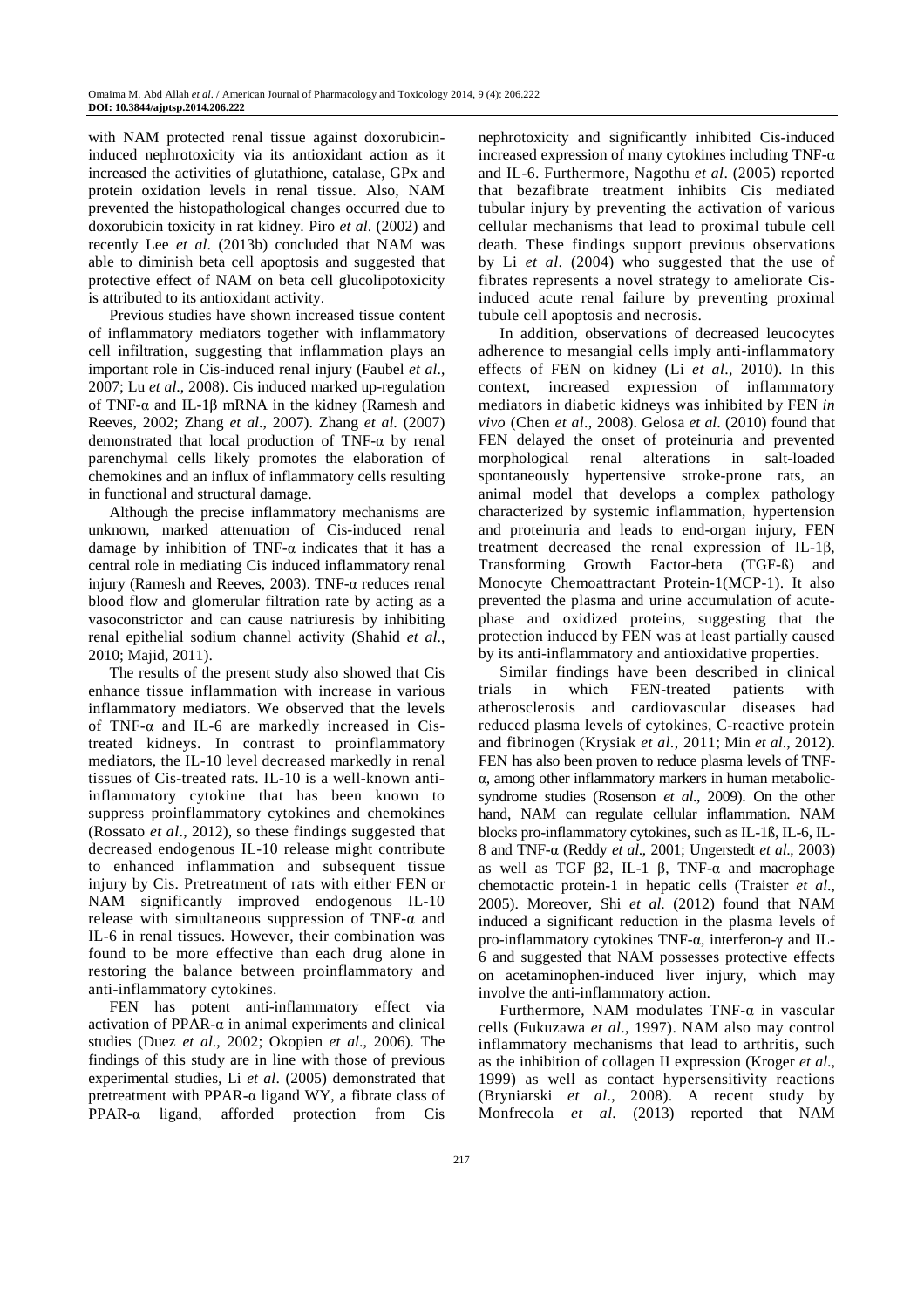with NAM protected renal tissue against doxorubicininduced nephrotoxicity via its antioxidant action as it increased the activities of glutathione, catalase, GPx and protein oxidation levels in renal tissue. Also, NAM prevented the histopathological changes occurred due to doxorubicin toxicity in rat kidney. Piro *et al*. (2002) and recently Lee *et al*. (2013b) concluded that NAM was able to diminish beta cell apoptosis and suggested that protective effect of NAM on beta cell glucolipotoxicity is attributed to its antioxidant activity.

Previous studies have shown increased tissue content of inflammatory mediators together with inflammatory cell infiltration, suggesting that inflammation plays an important role in Cis-induced renal injury (Faubel *et al*., 2007; Lu *et al*., 2008). Cis induced marked up-regulation of TNF-α and IL-1β mRNA in the kidney (Ramesh and Reeves, 2002; Zhang *et al*., 2007). Zhang *et al*. (2007) demonstrated that local production of TNF-α by renal parenchymal cells likely promotes the elaboration of chemokines and an influx of inflammatory cells resulting in functional and structural damage.

Although the precise inflammatory mechanisms are unknown, marked attenuation of Cis-induced renal damage by inhibition of TNF- $\alpha$  indicates that it has a central role in mediating Cis induced inflammatory renal injury (Ramesh and Reeves, 2003). TNF-α reduces renal blood flow and glomerular filtration rate by acting as a vasoconstrictor and can cause natriuresis by inhibiting renal epithelial sodium channel activity (Shahid *et al*., 2010; Majid, 2011).

The results of the present study also showed that Cis enhance tissue inflammation with increase in various inflammatory mediators. We observed that the levels of TNF-α and IL-6 are markedly increased in Cistreated kidneys. In contrast to proinflammatory mediators, the IL-10 level decreased markedly in renal tissues of Cis-treated rats. IL-10 is a well-known antiinflammatory cytokine that has been known to suppress proinflammatory cytokines and chemokines (Rossato *et al*., 2012), so these findings suggested that decreased endogenous IL-10 release might contribute to enhanced inflammation and subsequent tissue injury by Cis. Pretreatment of rats with either FEN or NAM significantly improved endogenous IL-10 release with simultaneous suppression of  $TNF-\alpha$  and IL-6 in renal tissues. However, their combination was found to be more effective than each drug alone in restoring the balance between proinflammatory and anti-inflammatory cytokines.

FEN has potent anti-inflammatory effect via activation of PPAR-α in animal experiments and clinical studies (Duez *et al*., 2002; Okopien *et al*., 2006). The findings of this study are in line with those of previous experimental studies, Li *et al*. (2005) demonstrated that pretreatment with PPAR-α ligand WY, a fibrate class of PPAR-α ligand, afforded protection from Cis nephrotoxicity and significantly inhibited Cis-induced increased expression of many cytokines including TNF-α and IL-6. Furthermore, Nagothu *et al*. (2005) reported that bezafibrate treatment inhibits Cis mediated tubular injury by preventing the activation of various cellular mechanisms that lead to proximal tubule cell death. These findings support previous observations by Li *et al*. (2004) who suggested that the use of fibrates represents a novel strategy to ameliorate Cisinduced acute renal failure by preventing proximal tubule cell apoptosis and necrosis.

In addition, observations of decreased leucocytes adherence to mesangial cells imply anti-inflammatory effects of FEN on kidney (Li *et al*., 2010). In this context, increased expression of inflammatory mediators in diabetic kidneys was inhibited by FEN *in vivo* (Chen *et al*., 2008). Gelosa *et al*. (2010) found that FEN delayed the onset of proteinuria and prevented morphological renal alterations in salt-loaded spontaneously hypertensive stroke-prone rats, an animal model that develops a complex pathology characterized by systemic inflammation, hypertension and proteinuria and leads to end-organ injury, FEN treatment decreased the renal expression of IL-1β, Transforming Growth Factor-beta (TGF-ß) and Monocyte Chemoattractant Protein-1(MCP-1). It also prevented the plasma and urine accumulation of acutephase and oxidized proteins, suggesting that the protection induced by FEN was at least partially caused by its anti-inflammatory and antioxidative properties.

Similar findings have been described in clinical trials in which FEN-treated patients with atherosclerosis and cardiovascular diseases had reduced plasma levels of cytokines, C-reactive protein and fibrinogen (Krysiak *et al*., 2011; Min *et al*., 2012). FEN has also been proven to reduce plasma levels of TNFα, among other inflammatory markers in human metabolicsyndrome studies (Rosenson *et al*., 2009). On the other hand, NAM can regulate cellular inflammation. NAM blocks pro-inflammatory cytokines, such as IL-1ß, IL-6, IL-8 and TNF-α (Reddy *et al*., 2001; Ungerstedt *et al*., 2003) as well as TGF  $β2$ , IL-1  $β$ , TNF-α and macrophage chemotactic protein-1 in hepatic cells (Traister *et al*., 2005). Moreover, Shi *et al*. (2012) found that NAM induced a significant reduction in the plasma levels of pro-inflammatory cytokines TNF-α, interferon-γ and IL-6 and suggested that NAM possesses protective effects on acetaminophen-induced liver injury, which may involve the anti-inflammatory action.

Furthermore, NAM modulates TNF-α in vascular cells (Fukuzawa *et al*., 1997). NAM also may control inflammatory mechanisms that lead to arthritis, such as the inhibition of collagen II expression (Kroger *et al*., 1999) as well as contact hypersensitivity reactions (Bryniarski *et al*., 2008). A recent study by Monfrecola *et al*. (2013) reported that NAM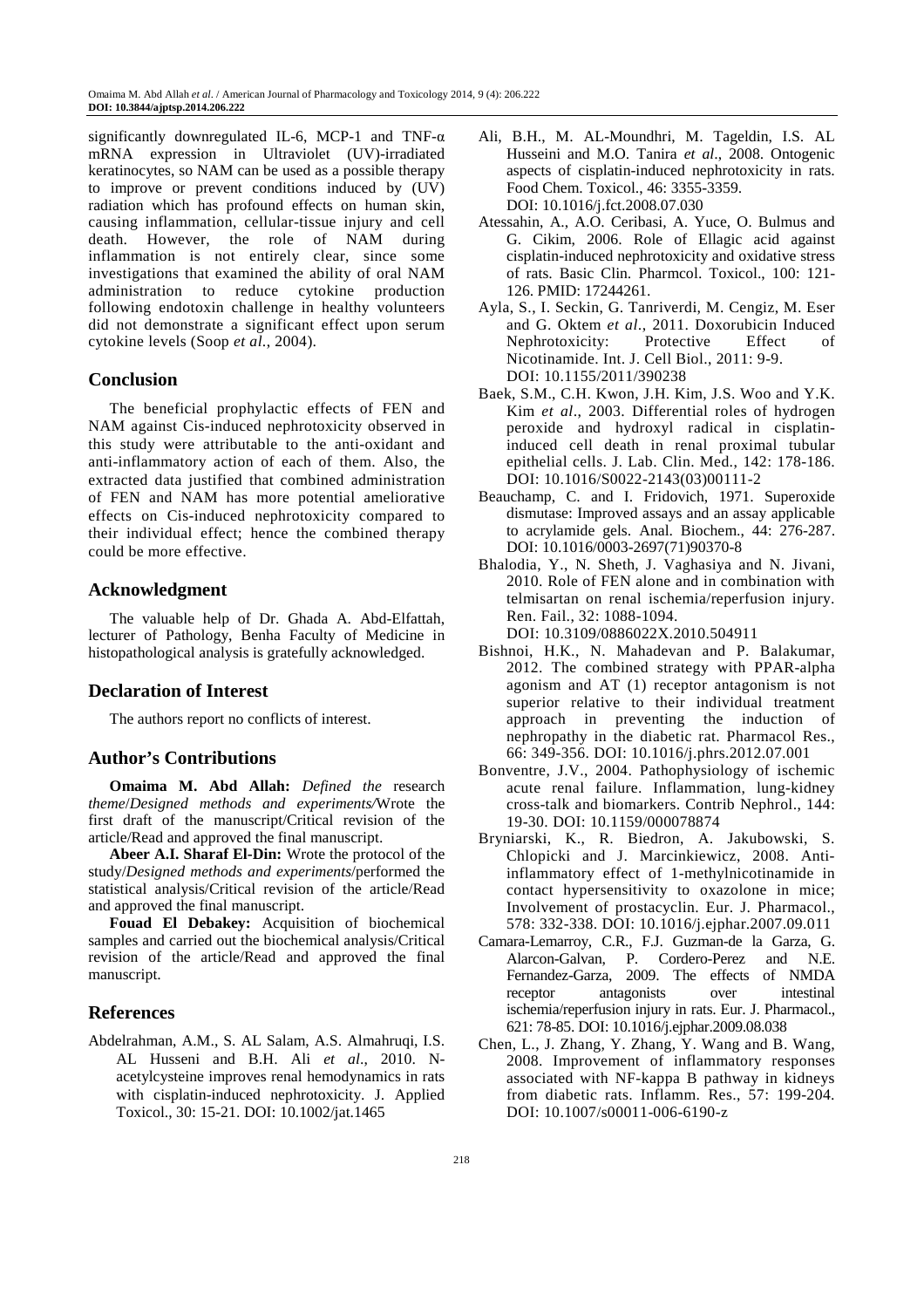significantly downregulated IL-6, MCP-1 and TNF- $\alpha$ mRNA expression in Ultraviolet (UV)-irradiated keratinocytes, so NAM can be used as a possible therapy to improve or prevent conditions induced by (UV) radiation which has profound effects on human skin, causing inflammation, cellular-tissue injury and cell death. However, the role of NAM during inflammation is not entirely clear, since some investigations that examined the ability of oral NAM administration to reduce cytokine production following endotoxin challenge in healthy volunteers did not demonstrate a significant effect upon serum cytokine levels (Soop *et al*., 2004).

# **Conclusion**

The beneficial prophylactic effects of FEN and NAM against Cis-induced nephrotoxicity observed in this study were attributable to the anti-oxidant and anti-inflammatory action of each of them. Also, the extracted data justified that combined administration of FEN and NAM has more potential ameliorative effects on Cis-induced nephrotoxicity compared to their individual effect; hence the combined therapy could be more effective.

# **Acknowledgment**

The valuable help of Dr. Ghada A. Abd-Elfattah, lecturer of Pathology, Benha Faculty of Medicine in histopathological analysis is gratefully acknowledged.

# **Declaration of Interest**

The authors report no conflicts of interest.

# **Author's Contributions**

**Omaima M. Abd Allah:** *Defined the* research *theme*/*Designed methods and experiments/*Wrote the first draft of the manuscript/Critical revision of the article/Read and approved the final manuscript.

**Abeer A.I. Sharaf El-Din:** Wrote the protocol of the study/*Designed methods and experiments*/performed the statistical analysis/Critical revision of the article/Read and approved the final manuscript.

**Fouad El Debakey:** Acquisition of biochemical samples and carried out the biochemical analysis/Critical revision of the article/Read and approved the final manuscript.

# **References**

Abdelrahman, A.M., S. AL Salam, A.S. Almahruqi, I.S. AL Husseni and B.H. Ali *et al*., 2010. Nacetylcysteine improves renal hemodynamics in rats with cisplatin-induced nephrotoxicity. J. Applied Toxicol., 30: 15-21. DOI: 10.1002/jat.1465

- Ali, B.H., M. AL-Moundhri, M. Tageldin, I.S. AL Husseini and M.O. Tanira *et al*., 2008. Ontogenic aspects of cisplatin-induced nephrotoxicity in rats. Food Chem. Toxicol., 46: 3355-3359. DOI: 10.1016/j.fct.2008.07.030
- Atessahin, A., A.O. Ceribasi, A. Yuce, O. Bulmus and G. Cikim, 2006. Role of Ellagic acid against cisplatin-induced nephrotoxicity and oxidative stress of rats. Basic Clin. Pharmcol. Toxicol., 100: 121- 126. PMID: 17244261.
- Ayla, S., I. Seckin, G. Tanriverdi, M. Cengiz, M. Eser and G. Oktem *et al*., 2011. Doxorubicin Induced Nephrotoxicity: Protective Effect of Nicotinamide. Int. J. Cell Biol., 2011: 9-9. DOI: 10.1155/2011/390238
- Baek, S.M., C.H. Kwon, J.H. Kim, J.S. Woo and Y.K. Kim *et al*., 2003. Differential roles of hydrogen peroxide and hydroxyl radical in cisplatininduced cell death in renal proximal tubular epithelial cells. J. Lab. Clin. Med., 142: 178-186. DOI: 10.1016/S0022-2143(03)00111-2
- Beauchamp, C. and I. Fridovich, 1971. Superoxide dismutase: Improved assays and an assay applicable to acrylamide gels. Anal. Biochem., 44: 276-287. DOI: 10.1016/0003-2697(71)90370-8
- Bhalodia, Y., N. Sheth, J. Vaghasiya and N. Jivani, 2010. Role of FEN alone and in combination with telmisartan on renal ischemia/reperfusion injury. Ren. Fail., 32: 1088-1094.

DOI: 10.3109/0886022X.2010.504911

- Bishnoi, H.K., N. Mahadevan and P. Balakumar, 2012. The combined strategy with PPAR-alpha agonism and AT (1) receptor antagonism is not superior relative to their individual treatment approach in preventing the induction of nephropathy in the diabetic rat. Pharmacol Res., 66: 349-356. DOI: 10.1016/j.phrs.2012.07.001
- Bonventre, J.V., 2004. Pathophysiology of ischemic acute renal failure. Inflammation, lung-kidney cross-talk and biomarkers. Contrib Nephrol., 144: 19-30. DOI: 10.1159/000078874
- Bryniarski, K., R. Biedron, A. Jakubowski, S. Chlopicki and J. Marcinkiewicz, 2008. Antiinflammatory effect of 1-methylnicotinamide in contact hypersensitivity to oxazolone in mice; Involvement of prostacyclin. Eur. J. Pharmacol., 578: 332-338. DOI: 10.1016/j.ejphar.2007.09.011
- Camara-Lemarroy, C.R., F.J. Guzman-de la Garza, G. Alarcon-Galvan, P. Cordero-Perez and N.E. Fernandez-Garza, 2009. The effects of NMDA receptor antagonists over intestinal ischemia/reperfusion injury in rats. Eur. J. Pharmacol., 621: 78-85. DOI: 10.1016/j.ejphar.2009.08.038
- Chen, L., J. Zhang, Y. Zhang, Y. Wang and B. Wang, 2008. Improvement of inflammatory responses associated with NF-kappa B pathway in kidneys from diabetic rats. Inflamm. Res., 57: 199-204. DOI: 10.1007/s00011-006-6190-z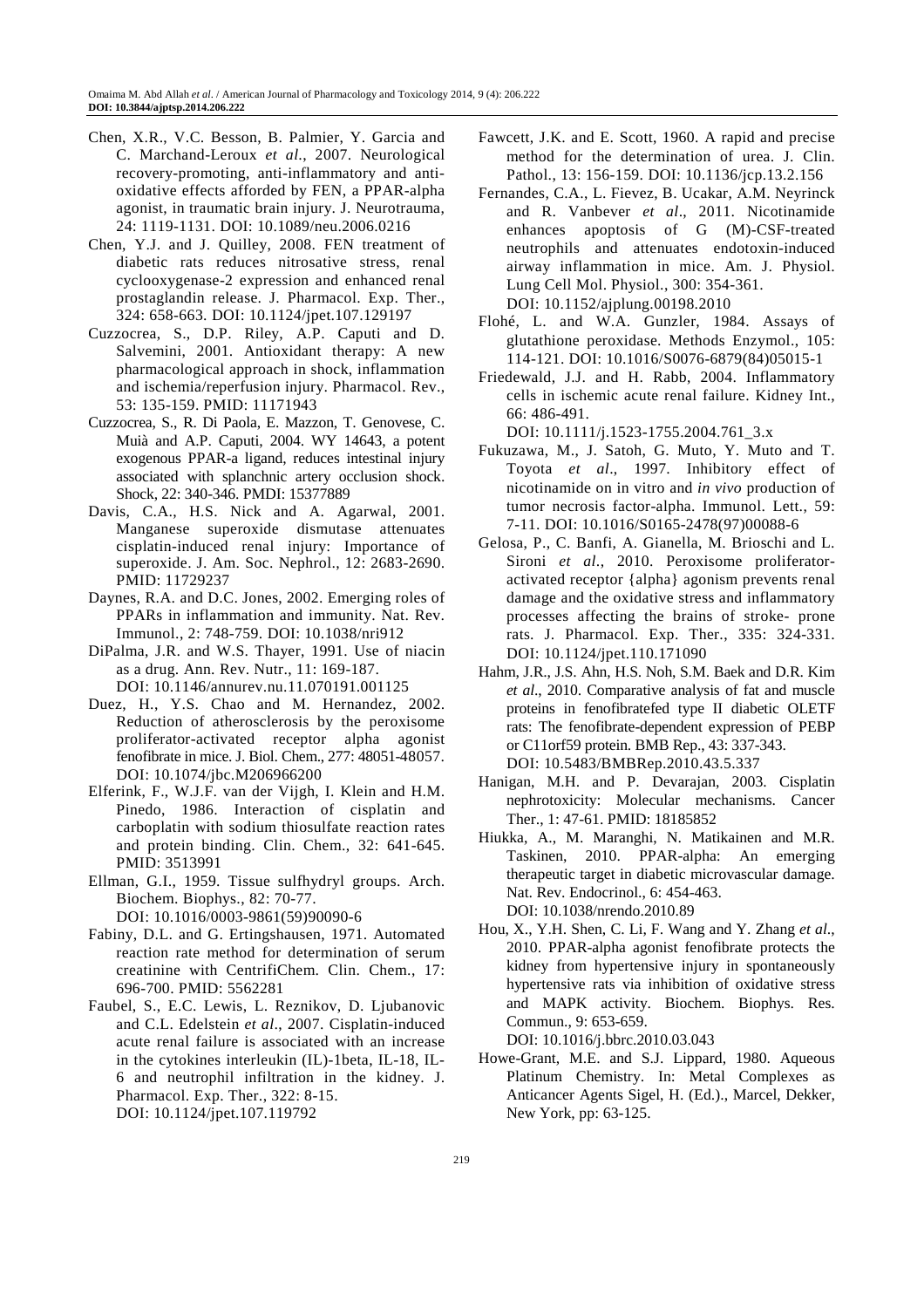- Chen, X.R., V.C. Besson, B. Palmier, Y. Garcia and C. Marchand-Leroux *et al*., 2007. Neurological recovery-promoting, anti-inflammatory and antioxidative effects afforded by FEN, a PPAR-alpha agonist, in traumatic brain injury. J. Neurotrauma, 24: 1119-1131. DOI: 10.1089/neu.2006.0216
- Chen, Y.J. and J. Quilley, 2008. FEN treatment of diabetic rats reduces nitrosative stress, renal cyclooxygenase-2 expression and enhanced renal prostaglandin release. J. Pharmacol. Exp. Ther., 324: 658-663. DOI: 10.1124/jpet.107.129197
- Cuzzocrea, S., D.P. Riley, A.P. Caputi and D. Salvemini, 2001. Antioxidant therapy: A new pharmacological approach in shock, inflammation and ischemia/reperfusion injury. Pharmacol. Rev., 53: 135-159. PMID: 11171943
- Cuzzocrea, S., R. Di Paola, E. Mazzon, T. Genovese, C. Muià and A.P. Caputi, 2004. WY 14643, a potent exogenous PPAR-a ligand, reduces intestinal injury associated with splanchnic artery occlusion shock. Shock, 22: 340-346. PMDI: 15377889
- Davis, C.A., H.S. Nick and A. Agarwal, 2001. Manganese superoxide dismutase attenuates cisplatin-induced renal injury: Importance of superoxide. J. Am. Soc. Nephrol., 12: 2683-2690. PMID: 11729237
- Daynes, R.A. and D.C. Jones, 2002. Emerging roles of PPARs in inflammation and immunity. Nat. Rev. Immunol., 2: 748-759. DOI: 10.1038/nri912
- DiPalma, J.R. and W.S. Thayer, 1991. Use of niacin as a drug. Ann. Rev. Nutr., 11: 169-187. DOI: 10.1146/annurev.nu.11.070191.001125
- Duez, H., Y.S. Chao and M. Hernandez, 2002. Reduction of atherosclerosis by the peroxisome proliferator-activated receptor alpha agonist fenofibrate in mice. J. Biol. Chem., 277: 48051-48057. DOI: 10.1074/jbc.M206966200
- Elferink, F., W.J.F. van der Vijgh, I. Klein and H.M. Pinedo, 1986. Interaction of cisplatin and carboplatin with sodium thiosulfate reaction rates and protein binding. Clin. Chem., 32: 641-645. PMID: 3513991
- Ellman, G.I., 1959. Tissue sulfhydryl groups. Arch. Biochem. Biophys., 82: 70-77. DOI: 10.1016/0003-9861(59)90090-6
- Fabiny, D.L. and G. Ertingshausen, 1971. Automated reaction rate method for determination of serum creatinine with CentrifiChem. Clin. Chem., 17: 696-700. PMID: 5562281
- Faubel, S., E.C. Lewis, L. Reznikov, D. Ljubanovic and C.L. Edelstein *et al*., 2007. Cisplatin-induced acute renal failure is associated with an increase in the cytokines interleukin (IL)-1beta, IL-18, IL-6 and neutrophil infiltration in the kidney. J. Pharmacol. Exp. Ther., 322: 8-15. DOI: 10.1124/jpet.107.119792
- Fawcett, J.K. and E. Scott, 1960. A rapid and precise method for the determination of urea. J. Clin. Pathol., 13: 156-159. DOI: 10.1136/jcp.13.2.156
- Fernandes, C.A., L. Fievez, B. Ucakar, A.M. Neyrinck and R. Vanbever *et al*., 2011. Nicotinamide enhances apoptosis of G (M)-CSF-treated neutrophils and attenuates endotoxin-induced airway inflammation in mice. Am. J. Physiol. Lung Cell Mol. Physiol., 300: 354-361. DOI: 10.1152/ajplung.00198.2010
- Flohé, L. and W.A. Gunzler, 1984. Assays of glutathione peroxidase. Methods Enzymol., 105: 114-121. DOI: 10.1016/S0076-6879(84)05015-1
- Friedewald, J.J. and H. Rabb, 2004. Inflammatory cells in ischemic acute renal failure. Kidney Int., 66: 486-491.

DOI: 10.1111/j.1523-1755.2004.761\_3.x

- Fukuzawa, M., J. Satoh, G. Muto, Y. Muto and T. Toyota *et al*., 1997. Inhibitory effect of nicotinamide on in vitro and *in vivo* production of tumor necrosis factor-alpha. Immunol. Lett., 59: 7-11. DOI: 10.1016/S0165-2478(97)00088-6
- Gelosa, P., C. Banfi, A. Gianella, M. Brioschi and L. Sironi *et al*., 2010. Peroxisome proliferatoractivated receptor {alpha} agonism prevents renal damage and the oxidative stress and inflammatory processes affecting the brains of stroke- prone rats. J. Pharmacol. Exp. Ther., 335: 324-331. DOI: 10.1124/jpet.110.171090
- Hahm, J.R., J.S. Ahn, H.S. Noh, S.M. Baek and D.R. Kim *et al*., 2010. Comparative analysis of fat and muscle proteins in fenofibratefed type II diabetic OLETF rats: The fenofibrate-dependent expression of PEBP or C11orf59 protein. BMB Rep., 43: 337-343. DOI: 10.5483/BMBRep.2010.43.5.337
- Hanigan, M.H. and P. Devarajan, 2003. Cisplatin nephrotoxicity: Molecular mechanisms. Cancer Ther., 1: 47-61. PMID: 18185852
- Hiukka, A., M. Maranghi, N. Matikainen and M.R. Taskinen, 2010. PPAR-alpha: An emerging therapeutic target in diabetic microvascular damage. Nat. Rev. Endocrinol., 6: 454-463. DOI: 10.1038/nrendo.2010.89
- Hou, X., Y.H. Shen, C. Li, F. Wang and Y. Zhang *et al*., 2010. PPAR-alpha agonist fenofibrate protects the kidney from hypertensive injury in spontaneously hypertensive rats via inhibition of oxidative stress and MAPK activity. Biochem. Biophys. Res. Commun., 9: 653-659.

DOI: 10.1016/j.bbrc.2010.03.043

Howe-Grant, M.E. and S.J. Lippard, 1980. Aqueous Platinum Chemistry. In: Metal Complexes as Anticancer Agents Sigel, H. (Ed.)., Marcel, Dekker, New York, pp: 63-125.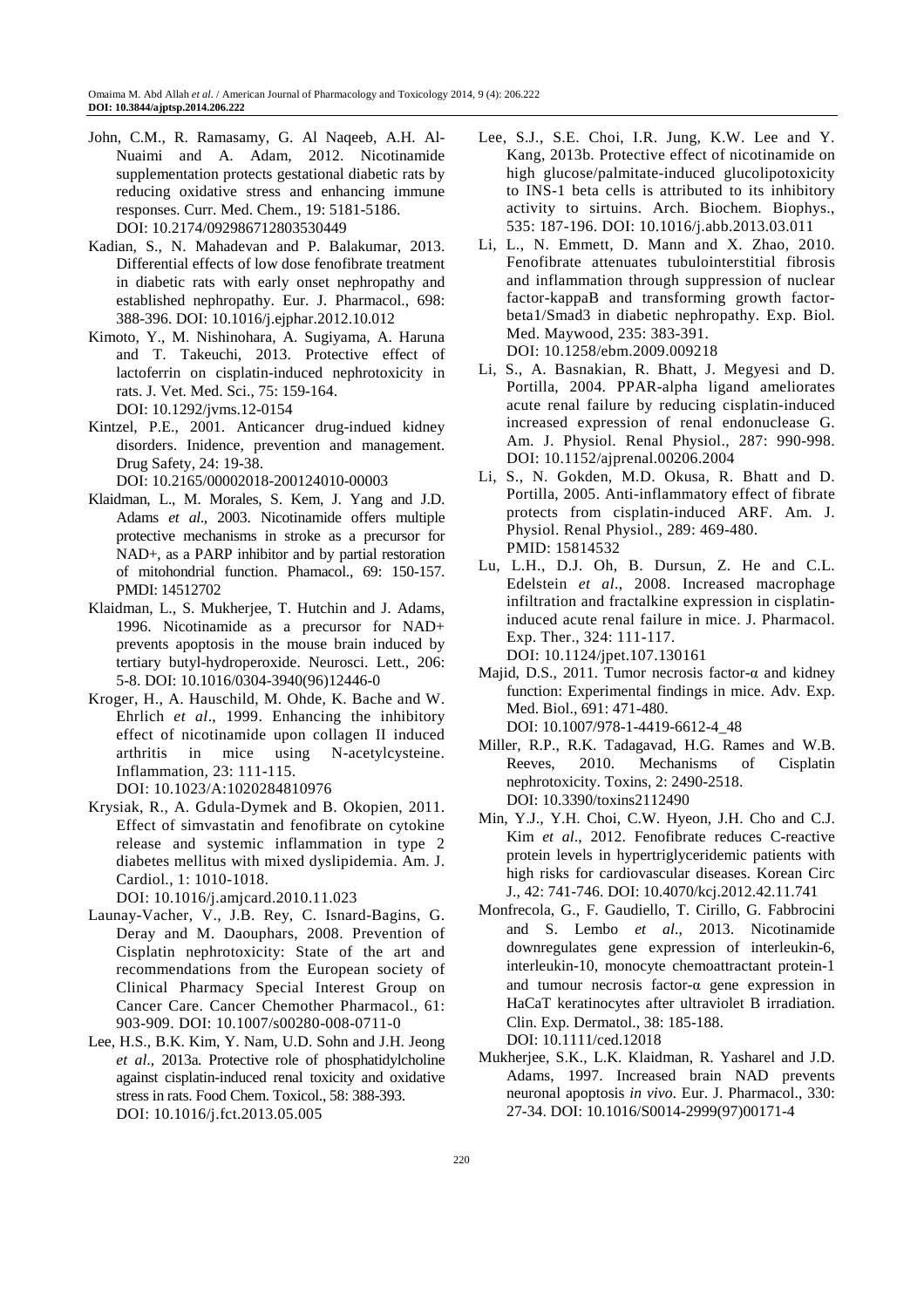- John, C.M., R. Ramasamy, G. Al Naqeeb, A.H. Al-Nuaimi and A. Adam, 2012. Nicotinamide supplementation protects gestational diabetic rats by reducing oxidative stress and enhancing immune responses. Curr. Med. Chem., 19: 5181-5186. DOI: 10.2174/092986712803530449
- Kadian, S., N. Mahadevan and P. Balakumar, 2013. Differential effects of low dose fenofibrate treatment in diabetic rats with early onset nephropathy and established nephropathy. Eur. J. Pharmacol., 698: 388-396. DOI: 10.1016/j.ejphar.2012.10.012
- Kimoto, Y., M. Nishinohara, A. Sugiyama, A. Haruna and T. Takeuchi, 2013. Protective effect of lactoferrin on cisplatin-induced nephrotoxicity in rats. J. Vet. Med. Sci., 75: 159-164. DOI: 10.1292/jvms.12-0154
- Kintzel, P.E., 2001. Anticancer drug-indued kidney disorders. Inidence, prevention and management. Drug Safety, 24: 19-38. DOI: 10.2165/00002018-200124010-00003
- Klaidman, L., M. Morales, S. Kem, J. Yang and J.D. Adams *et al*., 2003. Nicotinamide offers multiple protective mechanisms in stroke as a precursor for NAD+, as a PARP inhibitor and by partial restoration of mitohondrial function. Phamacol., 69: 150-157. PMDI: 14512702
- Klaidman, L., S. Mukherjee, T. Hutchin and J. Adams, 1996. Nicotinamide as a precursor for NAD+ prevents apoptosis in the mouse brain induced by tertiary butyl-hydroperoxide. Neurosci. Lett., 206: 5-8. DOI: 10.1016/0304-3940(96)12446-0
- Kroger, H., A. Hauschild, M. Ohde, K. Bache and W. Ehrlich *et al*., 1999. Enhancing the inhibitory effect of nicotinamide upon collagen II induced arthritis in mice using N-acetylcysteine. Inflammation, 23: 111-115. DOI: 10.1023/A:1020284810976
- Krysiak, R., A. Gdula-Dymek and B. Okopien, 2011. Effect of simvastatin and fenofibrate on cytokine release and systemic inflammation in type 2 diabetes mellitus with mixed dyslipidemia. Am. J. Cardiol., 1: 1010-1018.

DOI: 10.1016/j.amjcard.2010.11.023

- Launay-Vacher, V., J.B. Rey, C. Isnard-Bagins, G. Deray and M. Daouphars, 2008. Prevention of Cisplatin nephrotoxicity: State of the art and recommendations from the European society of Clinical Pharmacy Special Interest Group on Cancer Care. Cancer Chemother Pharmacol., 61: 903-909. DOI: 10.1007/s00280-008-0711-0
- Lee, H.S., B.K. Kim, Y. Nam, U.D. Sohn and J.H. Jeong *et al*., 2013a. Protective role of phosphatidylcholine against cisplatin-induced renal toxicity and oxidative stress in rats. Food Chem. Toxicol., 58: 388-393. DOI: 10.1016/j.fct.2013.05.005
- Lee, S.J., S.E. Choi, I.R. Jung, K.W. Lee and Y. Kang, 2013b. Protective effect of nicotinamide on high glucose/palmitate-induced glucolipotoxicity to INS-1 beta cells is attributed to its inhibitory activity to sirtuins. Arch. Biochem. Biophys., 535: 187-196. DOI: 10.1016/j.abb.2013.03.011
- Li, L., N. Emmett, D. Mann and X. Zhao, 2010. Fenofibrate attenuates tubulointerstitial fibrosis and inflammation through suppression of nuclear factor-kappaB and transforming growth factorbeta1/Smad3 in diabetic nephropathy. Exp. Biol. Med. Maywood, 235: 383-391. DOI: 10.1258/ebm.2009.009218
- Li, S., A. Basnakian, R. Bhatt, J. Megyesi and D. Portilla, 2004. PPAR-alpha ligand ameliorates acute renal failure by reducing cisplatin-induced increased expression of renal endonuclease G. Am. J. Physiol. Renal Physiol., 287: 990-998. DOI: 10.1152/ajprenal.00206.2004
- Li, S., N. Gokden, M.D. Okusa, R. Bhatt and D. Portilla, 2005. Anti-inflammatory effect of fibrate protects from cisplatin-induced ARF. Am. J. Physiol. Renal Physiol., 289: 469-480. PMID: 15814532
- Lu, L.H., D.J. Oh, B. Dursun, Z. He and C.L. Edelstein *et al*., 2008. Increased macrophage infiltration and fractalkine expression in cisplatininduced acute renal failure in mice. J. Pharmacol. Exp. Ther., 324: 111-117. DOI: 10.1124/jpet.107.130161
- Majid, D.S., 2011. Tumor necrosis factor- $\alpha$  and kidney function: Experimental findings in mice. Adv. Exp. Med. Biol., 691: 471-480. DOI: 10.1007/978-1-4419-6612-4\_48
- Miller, R.P., R.K. Tadagavad, H.G. Rames and W.B. Reeves, 2010. Mechanisms of Cisplatin nephrotoxicity. Toxins, 2: 2490-2518. DOI: 10.3390/toxins2112490
- Min, Y.J., Y.H. Choi, C.W. Hyeon, J.H. Cho and C.J. Kim *et al*., 2012. Fenofibrate reduces C-reactive protein levels in hypertriglyceridemic patients with high risks for cardiovascular diseases. Korean Circ J., 42: 741-746. DOI: 10.4070/kcj.2012.42.11.741
- Monfrecola, G., F. Gaudiello, T. Cirillo, G. Fabbrocini and S. Lembo *et al*., 2013. Nicotinamide downregulates gene expression of interleukin-6, interleukin-10, monocyte chemoattractant protein-1 and tumour necrosis factor-α gene expression in HaCaT keratinocytes after ultraviolet B irradiation. Clin. Exp. Dermatol., 38: 185-188. DOI: 10.1111/ced.12018
- Mukherjee, S.K., L.K. Klaidman, R. Yasharel and J.D. Adams, 1997. Increased brain NAD prevents neuronal apoptosis *in vivo*. Eur. J. Pharmacol., 330: 27-34. DOI: 10.1016/S0014-2999(97)00171-4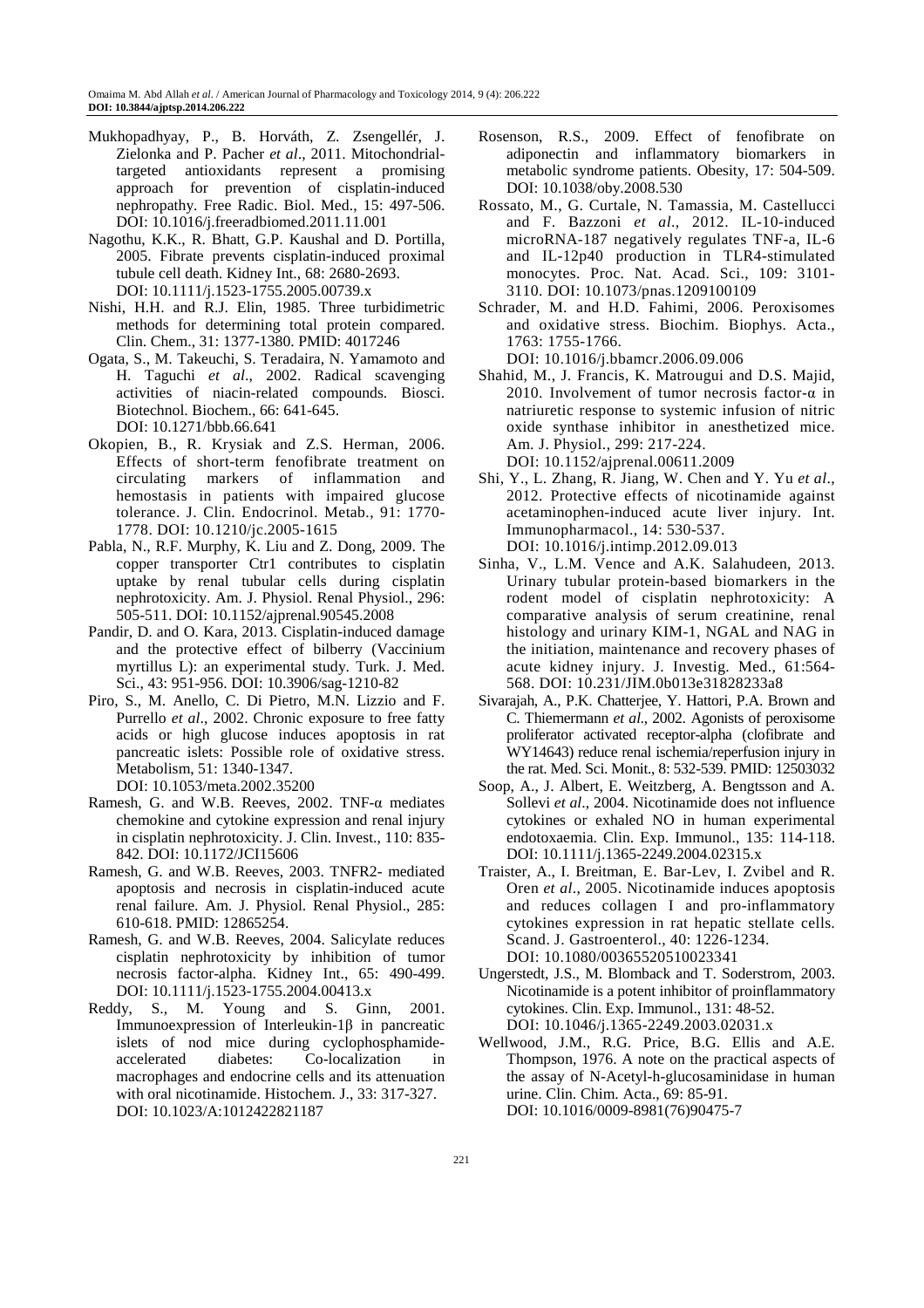- Mukhopadhyay, P., B. Horváth, Z. Zsengellér, J. Zielonka and P. Pacher *et al*., 2011. Mitochondrialtargeted antioxidants represent a promising approach for prevention of cisplatin-induced nephropathy. Free Radic. Biol. Med., 15: 497-506. DOI: 10.1016/j.freeradbiomed.2011.11.001
- Nagothu, K.K., R. Bhatt, G.P. Kaushal and D. Portilla, 2005. Fibrate prevents cisplatin-induced proximal tubule cell death. Kidney Int., 68: 2680-2693. DOI: 10.1111/j.1523-1755.2005.00739.x
- Nishi, H.H. and R.J. Elin, 1985. Three turbidimetric methods for determining total protein compared. Clin. Chem., 31: 1377-1380. PMID: 4017246
- Ogata, S., M. Takeuchi, S. Teradaira, N. Yamamoto and H. Taguchi *et al*., 2002. Radical scavenging activities of niacin-related compounds. Biosci. Biotechnol. Biochem., 66: 641-645. DOI: 10.1271/bbb.66.641
- Okopien, B., R. Krysiak and Z.S. Herman, 2006. Effects of short-term fenofibrate treatment on circulating markers of inflammation and hemostasis in patients with impaired glucose tolerance. J. Clin. Endocrinol. Metab., 91: 1770- 1778. DOI: 10.1210/jc.2005-1615
- Pabla, N., R.F. Murphy, K. Liu and Z. Dong, 2009. The copper transporter Ctr1 contributes to cisplatin uptake by renal tubular cells during cisplatin nephrotoxicity. Am. J. Physiol. Renal Physiol., 296: 505-511. DOI: 10.1152/ajprenal.90545.2008
- Pandir, D. and O. Kara, 2013. Cisplatin-induced damage and the protective effect of bilberry (Vaccinium myrtillus L): an experimental study. Turk. J. Med. Sci., 43: 951-956. DOI: 10.3906/sag-1210-82
- Piro, S., M. Anello, C. Di Pietro, M.N. Lizzio and F. Purrello *et al*., 2002. Chronic exposure to free fatty acids or high glucose induces apoptosis in rat pancreatic islets: Possible role of oxidative stress. Metabolism, 51: 1340-1347. DOI: 10.1053/meta.2002.35200
- Ramesh, G. and W.B. Reeves, 2002. TNF-α mediates chemokine and cytokine expression and renal injury in cisplatin nephrotoxicity. J. Clin. Invest., 110: 835- 842. DOI: 10.1172/JCI15606
- Ramesh, G. and W.B. Reeves, 2003. TNFR2- mediated apoptosis and necrosis in cisplatin-induced acute renal failure. Am. J. Physiol. Renal Physiol., 285: 610-618. PMID: 12865254.
- Ramesh, G. and W.B. Reeves, 2004. Salicylate reduces cisplatin nephrotoxicity by inhibition of tumor necrosis factor-alpha. Kidney Int., 65: 490-499. DOI: 10.1111/j.1523-1755.2004.00413.x
- Reddy, S., M. Young and S. Ginn, 2001. Immunoexpression of Interleukin-1β in pancreatic islets of nod mice during cyclophosphamideaccelerated diabetes: Co-localization in macrophages and endocrine cells and its attenuation with oral nicotinamide. Histochem. J., 33: 317-327. DOI: 10.1023/A:1012422821187
- Rosenson, R.S., 2009. Effect of fenofibrate on adiponectin and inflammatory biomarkers in metabolic syndrome patients. Obesity, 17: 504-509. DOI: 10.1038/oby.2008.530
- Rossato, M., G. Curtale, N. Tamassia, M. Castellucci and F. Bazzoni *et al*., 2012. IL-10-induced microRNA-187 negatively regulates TNF-a, IL-6 and IL-12p40 production in TLR4-stimulated monocytes. Proc. Nat. Acad. Sci., 109: 3101- 3110. DOI: 10.1073/pnas.1209100109
- Schrader, M. and H.D. Fahimi, 2006. Peroxisomes and oxidative stress. Biochim. Biophys. Acta., 1763: 1755-1766.

DOI: 10.1016/j.bbamcr.2006.09.006

- Shahid, M., J. Francis, K. Matrougui and D.S. Majid, 2010. Involvement of tumor necrosis factor-α in natriuretic response to systemic infusion of nitric oxide synthase inhibitor in anesthetized mice. Am. J. Physiol., 299: 217-224. DOI: 10.1152/ajprenal.00611.2009
- Shi, Y., L. Zhang, R. Jiang, W. Chen and Y. Yu *et al*., 2012. Protective effects of nicotinamide against acetaminophen-induced acute liver injury. Int. Immunopharmacol., 14: 530-537. DOI: 10.1016/j.intimp.2012.09.013
- Sinha, V., L.M. Vence and A.K. Salahudeen, 2013. Urinary tubular protein-based biomarkers in the rodent model of cisplatin nephrotoxicity: A comparative analysis of serum creatinine, renal histology and urinary KIM-1, NGAL and NAG in the initiation, maintenance and recovery phases of acute kidney injury. J. Investig. Med., 61:564- 568. DOI: 10.231/JIM.0b013e31828233a8
- Sivarajah, A., P.K. Chatterjee, Y. Hattori, P.A. Brown and C. Thiemermann *et al*., 2002. Agonists of peroxisome proliferator activated receptor-alpha (clofibrate and WY14643) reduce renal ischemia/reperfusion injury in the rat. Med. Sci. Monit., 8: 532-539. PMID: 12503032
- Soop, A., J. Albert, E. Weitzberg, A. Bengtsson and A. Sollevi *et al*., 2004. Nicotinamide does not influence cytokines or exhaled NO in human experimental endotoxaemia. Clin. Exp. Immunol., 135: 114-118. DOI: 10.1111/j.1365-2249.2004.02315.x
- Traister, A., I. Breitman, E. Bar-Lev, I. Zvibel and R. Oren *et al*., 2005. Nicotinamide induces apoptosis and reduces collagen I and pro-inflammatory cytokines expression in rat hepatic stellate cells. Scand. J. Gastroenterol., 40: 1226-1234. DOI: 10.1080/00365520510023341
- Ungerstedt, J.S., M. Blomback and T. Soderstrom, 2003. Nicotinamide is a potent inhibitor of proinflammatory cytokines. Clin. Exp. Immunol., 131: 48-52. DOI: 10.1046/j.1365-2249.2003.02031.x
- Wellwood, J.M., R.G. Price, B.G. Ellis and A.E. Thompson, 1976. A note on the practical aspects of the assay of N-Acetyl-h-glucosaminidase in human urine. Clin. Chim. Acta., 69: 85-91. DOI: 10.1016/0009-8981(76)90475-7